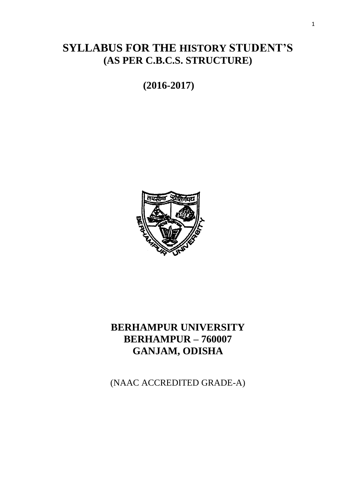# **SYLLABUS FOR THE HISTORY STUDENT'S (AS PER C.B.C.S. STRUCTURE)**

**(2016-2017)**



# **BERHAMPUR UNIVERSITY BERHAMPUR – 760007 GANJAM, ODISHA**

(NAAC ACCREDITED GRADE-A)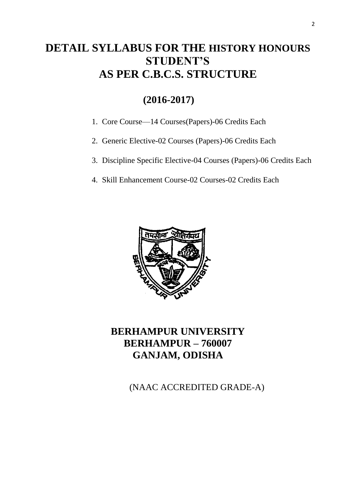# **DETAIL SYLLABUS FOR THE HISTORY HONOURS STUDENT'S AS PER C.B.C.S. STRUCTURE**

# **(2016-2017)**

- 1. Core Course—14 Courses(Papers)-06 Credits Each
- 2. Generic Elective-02 Courses (Papers)-06 Credits Each
- 3. Discipline Specific Elective-04 Courses (Papers)-06 Credits Each
- 4. Skill Enhancement Course-02 Courses-02 Credits Each



# **BERHAMPUR UNIVERSITY BERHAMPUR – 760007 GANJAM, ODISHA**

(NAAC ACCREDITED GRADE-A)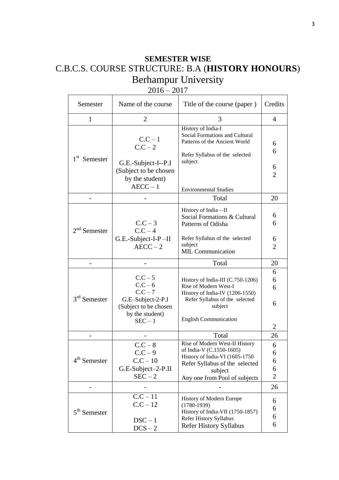# **SEMESTER WISE** C.B.C.S. COURSE STRUCTURE: B.A (**HISTORY HONOURS**) Berhampur University  $2016 - 2017$

| Semester                    | Name of the course                                                                                          | Title of the course (paper)                                                                                                                                                         | Credits                                  |
|-----------------------------|-------------------------------------------------------------------------------------------------------------|-------------------------------------------------------------------------------------------------------------------------------------------------------------------------------------|------------------------------------------|
| $\mathbf{1}$                | $\overline{2}$                                                                                              | 3                                                                                                                                                                                   | 4                                        |
| 1 <sup>st</sup><br>Semester | $C.C-1$<br>$C.C-2$<br>G.E.-Subject-I--P.I<br>(Subject to be chosen<br>by the student)<br>$AECC - 1$         | History of India-I<br>Social Formations and Cultural<br>Patterns of the Ancient World<br>Refer Syllabus of the selected<br>subject<br><b>Environmental Studies</b>                  | 6<br>6<br>6<br>$\overline{2}$            |
|                             |                                                                                                             | Total                                                                                                                                                                               | 20                                       |
| $2nd$ Semester              | $C.C-3$<br>$C.C-4$<br>G.E.-Subject-I-P-II<br>$AECC - 2$                                                     | History of India-II<br>Social Formations & Cultural<br>Patterns of Odisha<br>Refer Syllabus of the selected<br>subject<br><b>MIL Communication</b>                                  | 6<br>6<br>6<br>$\overline{2}$            |
|                             |                                                                                                             | Total                                                                                                                                                                               | 20                                       |
| 3 <sup>rd</sup> Semester    | $C.C-5$<br>$C.C-6$<br>$C.C-7$<br>G.E-Subject-2-P.I<br>(Subject to be chosen<br>by the student)<br>$SEC - 1$ | History of India-III (C.750-1206)<br>Rise of Modern West-I<br>History of India-IV (1206-1550)<br>Refer Syllabus of the selected<br>subject<br><b>English Communication</b>          | 6<br>6<br>6<br>6                         |
|                             |                                                                                                             |                                                                                                                                                                                     | $\overline{2}$                           |
| $4th$ Semester              | $C.C - 8$<br>$C.C-9$<br>$C.C - 10$<br>G.E-Subject-2-P.II<br>$SEC-2$                                         | Total<br>Rise of Modern West-II History<br>of India-V (C.1550-1605)<br>History of India-VI (1605-1750<br>Refer Syllabus of the selected<br>subject<br>Any one from Pool of subjects | 26<br>6<br>6<br>6<br>6<br>$\overline{2}$ |
|                             |                                                                                                             |                                                                                                                                                                                     | 26                                       |
| $5th$ Semester              | $C.C-11$<br>$C.C-12$<br>$DSC - 1$<br>$DCS - 2$                                                              | History of Modern Europe<br>$(1780 - 1939)$<br>History of India-VII (1750-1857)<br>Refer History Syllabus<br><b>Refer History Syllabus</b>                                          | 6<br>6<br>6<br>6                         |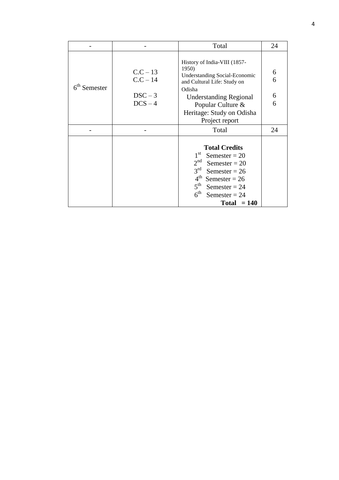|                |                        | Total                                                                                                                                                                                                                                     | 24     |
|----------------|------------------------|-------------------------------------------------------------------------------------------------------------------------------------------------------------------------------------------------------------------------------------------|--------|
| $6th$ Semester | $C.C - 13$<br>$C.C-14$ | History of India-VIII (1857-<br>1950)<br><b>Understanding Social-Economic</b><br>and Cultural Life: Study on<br>Odisha                                                                                                                    | 6<br>6 |
|                | $DSC-3$                | <b>Understanding Regional</b>                                                                                                                                                                                                             | 6      |
|                | $DCS - 4$              | Popular Culture &                                                                                                                                                                                                                         | 6      |
|                |                        | Heritage: Study on Odisha                                                                                                                                                                                                                 |        |
|                |                        | Project report                                                                                                                                                                                                                            |        |
|                |                        | Total                                                                                                                                                                                                                                     | 24     |
|                |                        | <b>Total Credits</b><br>$1^{\rm st}$<br>Semester = $20$<br>$2^{nd}$<br>Semester = $20$<br>$3^{\text{rd}}$<br>Semester = $26$<br>$4^{\text{th}}$ Semester = 26<br>$5^{\text{th}}$<br>Semester = $24$<br>$6^{\text{th}}$<br>Semester = $24$ |        |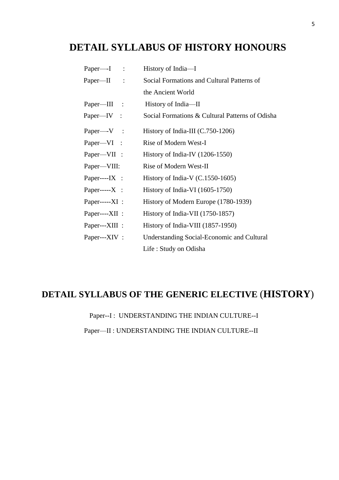# **DETAIL SYLLABUS OF HISTORY HONOURS**

| $Paper—I$ :       | History of India-I                                |
|-------------------|---------------------------------------------------|
| $Paper—II$ :      | Social Formations and Cultural Patterns of        |
|                   | the Ancient World                                 |
| Paper—III :       | History of India—II                               |
| Paper—IV :        | Social Formations & Cultural Patterns of Odisha   |
| Paper—V :         | History of India-III $(C.750-1206)$               |
| Paper—VI :        | Rise of Modern West-I                             |
| Paper—VII :       | History of India-IV (1206-1550)                   |
| Paper—VIII:       | Rise of Modern West-II                            |
| Paper---- $IX$ :  | History of India-V $(C.1550-1605)$                |
| Paper----- $X$ :  | History of India-VI (1605-1750)                   |
| Paper----- $XI$ : | History of Modern Europe (1780-1939)              |
| Paper---- $XII$ : | History of India-VII $(1750-1857)$                |
| Paper---XIII :    | History of India-VIII (1857-1950)                 |
| Paper---XIV :     | <b>Understanding Social-Economic and Cultural</b> |
|                   | Life: Study on Odisha                             |

# **DETAIL SYLLABUS OF THE GENERIC ELECTIVE** (**HISTORY**)

 Paper--I : UNDERSTANDING THE INDIAN CULTURE--I Paper—II : UNDERSTANDING THE INDIAN CULTURE--II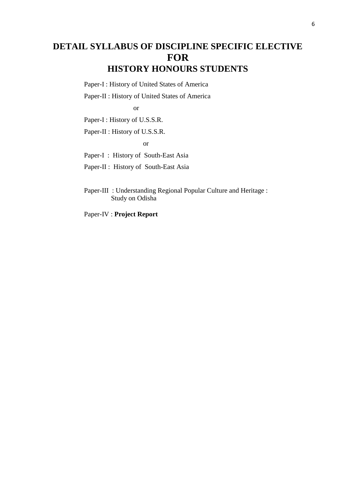# **DETAIL SYLLABUS OF DISCIPLINE SPECIFIC ELECTIVE FOR HISTORY HONOURS STUDENTS**

Paper-I : History of United States of America

Paper-II : History of United States of America

or

Paper-I : History of U.S.S.R.

Paper-II : History of U.S.S.R.

or

Paper-I : History of South-East Asia

Paper-II : History of South-East Asia

Paper-III : Understanding Regional Popular Culture and Heritage : Study on Odisha

Paper-IV : **Project Report**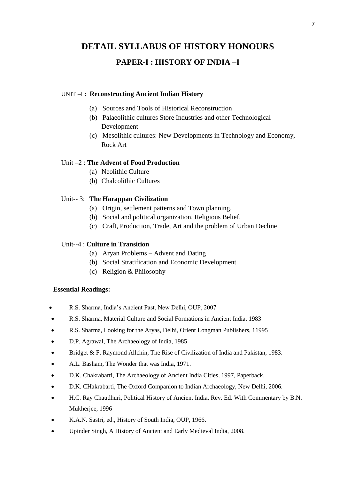# **DETAIL SYLLABUS OF HISTORY HONOURS PAPER-I : HISTORY OF INDIA –I**

### UNIT –I **: Reconstructing Ancient Indian History**

- (a) Sources and Tools of Historical Reconstruction
- (b) Palaeolithic cultures Store Industries and other Technological Development
- (c) Mesolithic cultures: New Developments in Technology and Economy, Rock Art

### Unit –2 : **The Advent of Food Production**

- (a) Neolithic Culture
- (b) Chalcolithic Cultures

### Unit-- 3: **The Harappan Civilization**

- (a) Origin, settlement patterns and Town planning.
- (b) Social and political organization, Religious Belief.
- (c) Craft, Production, Trade, Art and the problem of Urban Decline

### Unit--4 : **Culture in Transition**

- (a) Aryan Problems Advent and Dating
- (b) Social Stratification and Economic Development
- (c) Religion & Philosophy

### **Essential Readings:**

- R.S. Sharma, India's Ancient Past, New Delhi, OUP, 2007
- R.S. Sharma, Material Culture and Social Formations in Ancient India, 1983
- R.S. Sharma, Looking for the Aryas, Delhi, Orient Longman Publishers, 11995
- D.P. Agrawal, The Archaeology of India, 1985
- Bridget & F. Raymond Allchin, The Rise of Civilization of India and Pakistan, 1983.
- A.L. Basham, The Wonder that was India, 1971.
- D.K. Chakrabarti, The Archaeology of Ancient India Cities, 1997, Paperback.
- D.K. CHakrabarti, The Oxford Companion to Indian Archaeology, New Delhi, 2006.
- H.C. Ray Chaudhuri, Political History of Ancient India, Rev. Ed. With Commentary by B.N. Mukherjee, 1996
- K.A.N. Sastri, ed., History of South India, OUP, 1966.
- Upinder Singh, A History of Ancient and Early Medieval India, 2008.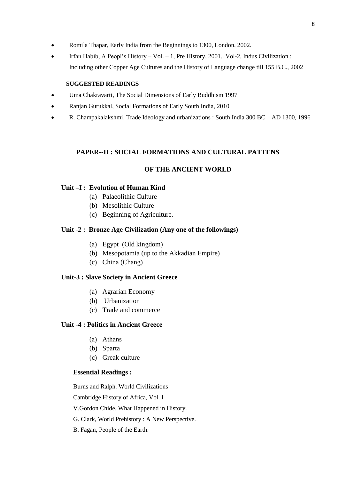- Romila Thapar, Early India from the Beginnings to 1300, London, 2002.
- Irfan Habib, A Peopl's History Vol. 1, Pre History, 2001.. Vol-2, Indus Civilization : Including other Copper Age Cultures and the History of Language change till 155 B.C., 2002

### **SUGGESTED READINGS**

- Uma Chakravarti, The Social Dimensions of Early Buddhism 1997
- Ranjan Gurukkal, Social Formations of Early South India, 2010
- R. Champakalakshmi, Trade Ideology and urbanizations : South India 300 BC AD 1300, 1996

### **PAPER--II : SOCIAL FORMATIONS AND CULTURAL PATTENS**

### **OF THE ANCIENT WORLD**

### **Unit –I : Evolution of Human Kind**

- (a) Palaeolithic Culture
- (b) Mesolithic Culture
- (c) Beginning of Agriculture.

### **Unit -2 : Bronze Age Civilization (Any one of the followings)**

- (a) Egypt (Old kingdom)
- (b) Mesopotamia (up to the Akkadian Empire)
- (c) China (Chang)

### **Unit-3 : Slave Society in Ancient Greece**

- (a) Agrarian Economy
- (b) Urbanization
- (c) Trade and commerce

### **Unit -4 : Politics in Ancient Greece**

- (a) Athans
- (b) Sparta
- (c) Greak culture

### **Essential Readings :**

Burns and Ralph. World Civilizations

Cambridge History of Africa, Vol. I

V.Gordon Chide, What Happened in History.

- G. Clark, World Prehistory : A New Perspective.
- B. Fagan, People of the Earth.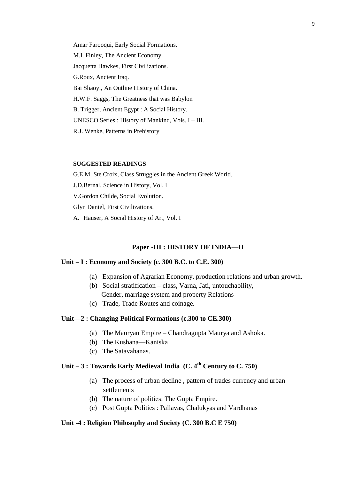Amar Farooqui, Early Social Formations. M.I. Finley, The Ancient Economy. Jacquetta Hawkes, First Civilizations. G.Roux, Ancient Iraq. Bai Shaoyi, An Outline History of China. H.W.F. Saggs, The Greatness that was Babylon B. Trigger, Ancient Egypt : A Social History. UNESCO Series : History of Mankind, Vols. I – III. R.J. Wenke, Patterns in Prehistory

#### **SUGGESTED READINGS**

G.E.M. Ste Croix, Class Struggles in the Ancient Greek World. J.D.Bernal, Science in History, Vol. I V.Gordon Childe, Social Evolution. Glyn Daniel, First Civilizations. A. Hauser, A Social History of Art, Vol. I

## **Paper -III : HISTORY OF INDIA—II**

### **Unit – I : Economy and Society (c. 300 B.C. to C.E. 300)**

- (a) Expansion of Agrarian Economy, production relations and urban growth.
- (b) Social stratification class, Varna, Jati, untouchability, Gender, marriage system and property Relations
- (c) Trade, Trade Routes and coinage.

### **Unit—2 : Changing Political Formations (c.300 to CE.300)**

- (a) The Mauryan Empire Chandragupta Maurya and Ashoka.
- (b) The Kushana—Kaniska
- (c) The Satavahanas.

## **Unit – 3 : Towards Early Medieval India (C. 4th Century to C. 750)**

- (a) The process of urban decline , pattern of trades currency and urban settlements
- (b) The nature of polities: The Gupta Empire.
- (c) Post Gupta Polities : Pallavas, Chalukyas and Vardhanas

### **Unit -4 : Religion Philosophy and Society (C. 300 B.C E 750)**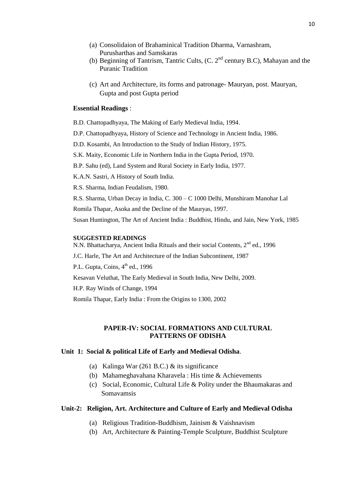- (a) Consolidaion of Brahaminical Tradition Dharma, Varnashram, Purusharthas and Samskaras
- (b) Beginning of Tantrism, Tantric Cults,  $(C, 2<sup>nd</sup>$  century B.C), Mahayan and the Puranic Tradition
- (c) Art and Architecture, its forms and patronage- Mauryan, post. Mauryan, Gupta and post Gupta period

### **Essential Readings** :

B.D. Chattopadhyaya, The Making of Early Medieval India, 1994.

D.P. Chattopadhyaya, History of Science and Technology in Ancient India, 1986.

D.D. Kosambi, An Introduction to the Study of Indian History, 1975.

S.K. Maity, Economic Life in Northern India in the Gupta Period, 1970.

B.P. Sahu (ed), Land System and Rural Society in Early India, 1977.

K.A.N. Sastri, A History of South India.

R.S. Sharma, Indian Feudalism, 1980.

R.S. Sharma, Urban Decay in India, C. 300 – C 1000 Delhi, Munshiram Manohar Lal

Romila Thapar, Asoka and the Decline of the Mauryas, 1997.

Susan Huntington, The Art of Ancient India : Buddhist, Hindu, and Jain, New York, 1985

#### **SUGGESTED READINGS**

N.N. Bhattacharya, Ancient India Rituals and their social Contents, 2<sup>nd</sup> ed., 1996

J.C. Harle, The Art and Architecture of the Indian Subcontinent, 1987

P.L. Gupta, Coins,  $4<sup>th</sup>$  ed., 1996

Kesavan Veluthat, The Early Medieval in South India, New Delhi, 2009.

H.P. Ray Winds of Change, 1994

Romila Thapar, Early India : From the Origins to 1300, 2002

### **PAPER-IV: SOCIAL FORMATIONS AND CULTURAL PATTERNS OF ODISHA**

#### **Unit 1: Social & political Life of Early and Medieval Odisha**.

- (a) Kalinga War (261 B.C.) & its significance
- (b) Mahameghavahana Kharavela : His time & Achievements
- (c) Social, Economic, Cultural Life & Polity under the Bhaumakaras and Somavamsis

### **Unit-2: Religion, Art. Architecture and Culture of Early and Medieval Odisha**

- (a) Religious Tradition-Buddhism, Jainism & Vaishnavism
- (b) Art, Architecture & Painting-Temple Sculpture, Buddhist Sculpture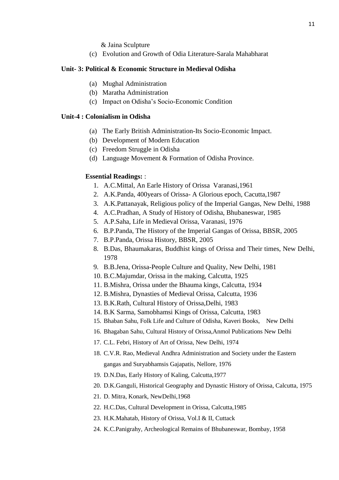& Jaina Sculpture

(c) Evolution and Growth of Odia Literature-Sarala Mahabharat

### **Unit- 3: Political & Economic Structure in Medieval Odisha**

- (a) Mughal Administration
- (b) Maratha Administration
- (c) Impact on Odisha's Socio-Economic Condition

### **Unit-4 : Colonialism in Odisha**

- (a) The Early British Administration-Its Socio-Economic Impact.
- (b) Development of Modern Education
- (c) Freedom Struggle in Odisha
- (d) Language Movement & Formation of Odisha Province.

### **Essential Readings:** :

- 1. A.C.Mittal, An Earle History of Orissa Varanasi,1961
- 2. A.K.Panda, 400years of Orissa- A Glorious epoch, Cacutta,1987
- 3. A.K.Pattanayak, Religious policy of the Imperial Gangas, New Delhi, 1988
- 4. A.C.Pradhan, A Study of History of Odisha, Bhubaneswar, 1985
- 5. A.P.Saha, Life in Medieval Orissa, Varanasi, 1976
- 6. B.P.Panda, The History of the Imperial Gangas of Orissa, BBSR, 2005
- 7. B.P.Panda, Orissa History, BBSR, 2005
- 8. B.Das, Bhaumakaras, Buddhist kings of Orissa and Their times, New Delhi, 1978
- 9. B.B.Jena, Orissa-People Culture and Quality, New Delhi, 1981
- 10. B.C.Majumdar, Orissa in the making, Calcutta, 1925
- 11. B.Mishra, Orissa under the Bhauma kings, Calcutta, 1934
- 12. B.Mishra, Dynasties of Medieval Orissa, Calcutta, 1936
- 13. B.K.Rath, Cultural History of Orissa,Delhi, 1983
- 14. B.K Sarma, Samobhamsi Kings of Orissa, Calcutta, 1983
- 15. Bhaban Sahu, Folk Life and Culture of Odisha, Kaveri Books, New Delhi
- 16. Bhagaban Sahu, Cultural History of Orissa,Anmol Publications New Delhi
- 17. C.L. Febri, History of Art of Orissa, New Delhi, 1974
- 18. C.V.R. Rao, Medieval Andhra Administration and Society under the Eastern gangas and Suryabhamsis Gajapatis, Nellore, 1976
- 19. D.N.Das, Early History of Kaling, Calcutta,1977
- 20. D.K.Ganguli, Historical Geography and Dynastic History of Orissa, Calcutta, 1975
- 21. D. Mitra, Konark, NewDelhi,1968
- 22. H.C.Das, Cultural Development in Orissa, Calcutta,1985
- 23. H.K.Mahatab, History of Orissa, Vol.I & II, Cuttack
- 24. K.C.Panigrahy, Archeological Remains of Bhubaneswar, Bombay, 1958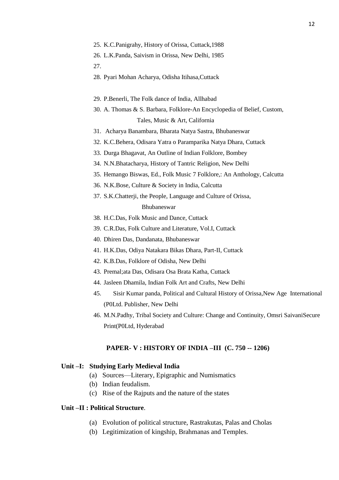25. K.C.Panigrahy, History of Orissa, Cuttack,1988

26. L.K.Panda, Saivism in Orissa, New Delhi, 1985

27.

- 28. Pyari Mohan Acharya, Odisha Itihasa,Cuttack
- 29. P.Benerli, The Folk dance of India, Allhabad
- 30. A. Thomas & S. Barbara, Folklore-An Encyclopedia of Belief, Custom, Tales, Music & Art, California
- 31. Acharya Banambara, Bharata Natya Sastra, Bhubaneswar
- 32. K.C.Behera, Odisara Yatra o Paramparika Natya Dhara, Cuttack
- 33. Durga Bhagavat, An Outline of Indian Folklore, Bombey
- 34. N.N.Bhatacharya, History of Tantric Religion, New Delhi
- 35. Hemango Biswas, Ed., Folk Music 7 Folklore,: An Anthology, Calcutta
- 36. N.K.Bose, Culture & Society in India, Calcutta
- 37. S.K.Chatterji, the People, Language and Culture of Orissa,

## Bhubaneswar

- 38. H.C.Das, Folk Music and Dance, Cuttack
- 39. C.R.Das, Folk Culture and Literature, Vol.I, Cuttack
- 40. Dhiren Das, Dandanata, Bhubaneswar
- 41. H.K.Das, Odiya Natakara Bikas Dhara, Part-II, Cuttack
- 42. K.B.Das, Folklore of Odisha, New Delhi
- 43. Premal;ata Das, Odisara Osa Brata Katha, Cuttack
- 44. Jasleen Dhamila, Indian Folk Art and Crafts, New Delhi
- 45. Sisir Kumar panda, Political and Cultural History of Orissa,New Age International (P0Ltd. Publisher, New Delhi
- 46. M.N.Padhy, Tribal Society and Culture: Change and Continuity, Omsri SaivaniSecure Print(P0Ltd, Hyderabad

### **PAPER- V : HISTORY OF INDIA –III (C. 750 -- 1206)**

### **Unit –I: Studying Early Medieval India**

- (a) Sources—Literary, Epigraphic and Numismatics
- (b) Indian feudalism.
- (c) Rise of the Rajputs and the nature of the states

### **Unit –II : Political Structure**.

- (a) Evolution of political structure, Rastrakutas, Palas and Cholas
- (b) Legitimization of kingship, Brahmanas and Temples.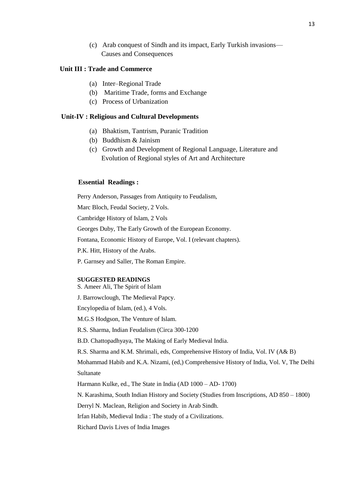(c) Arab conquest of Sindh and its impact, Early Turkish invasions— Causes and Consequences

### **Unit III : Trade and Commerce**

- (a) Inter–Regional Trade
- (b) Maritime Trade, forms and Exchange
- (c) Process of Urbanization

### **Unit-IV : Religious and Cultural Developments**

- (a) Bhaktism, Tantrism, Puranic Tradition
- (b) Buddhism & Jainism
- (c) Growth and Development of Regional Language, Literature and Evolution of Regional styles of Art and Architecture

#### **Essential Readings :**

Perry Anderson, Passages from Antiquity to Feudalism, Marc Bloch, Feudal Society, 2 Vols. Cambridge History of Islam, 2 Vols Georges Duby, The Early Growth of the European Economy. Fontana, Economic History of Europe, Vol. I (relevant chapters). P.K. Hitt, History of the Arabs. P. Garnsey and Saller, The Roman Empire.

#### **SUGGESTED READINGS**

S. Ameer Ali, The Spirit of Islam

J. Barrowclough, The Medieval Papcy.

Encylopedia of Islam, (ed.), 4 Vols.

M.G.S Hodgson, The Venture of Islam.

R.S. Sharma, Indian Feudalism (Circa 300-1200

B.D. Chattopadhyaya, The Making of Early Medieval India.

R.S. Sharma and K.M. Shrimali, eds, Comprehensive History of India, Vol. IV (A& B)

Mohammad Habib and K.A. Nizami, (ed,) Comprehensive History of India, Vol. V, The Delhi Sultanate

Harmann Kulke, ed., The State in India (AD 1000 – AD- 1700)

N. Karashima, South Indian History and Society (Studies from Inscriptions, AD 850 – 1800)

Derryl N. Maclean, Religion and Society in Arab Sindh.

Irfan Habib, Medieval India : The study of a Civilizations.

Richard Davis Lives of India Images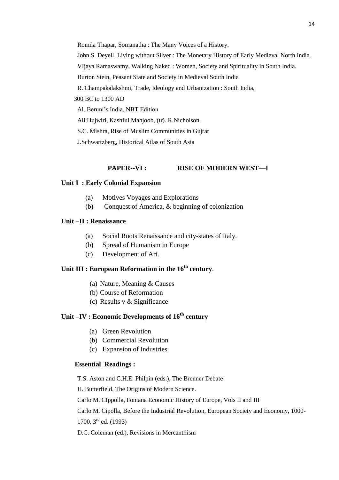Romila Thapar, Somanatha : The Many Voices of a History. John S. Deyell, Living without Silver : The Monetary History of Early Medieval North India. VIjaya Ramaswamy, Walking Naked : Women, Society and Spirituality in South India. Burton Stein, Peasant State and Society in Medieval South India R. Champakalakshmi, Trade, Ideology and Urbanization : South India, 300 BC to 1300 AD Al. Beruni's India, NBT Edition Ali Hujwiri, Kashful Mahjoob, (tr). R.Nicholson. S.C. Mishra, Rise of Muslim Communities in Gujrat J.Schwartzberg, Historical Atlas of South Asia

### **PAPER--VI : RISE OF MODERN WEST—I**

#### **Unit I : Early Colonial Expansion**

- (a) Motives Voyages and Explorations
- (b) Conquest of America, & beginning of colonization

### **Unit –II : Renaissance**

- (a) Social Roots Renaissance and city-states of Italy.
- (b) Spread of Humanism in Europe
- (c) Development of Art.

## **Unit III : European Reformation in the 16th century**.

- (a) Nature, Meaning & Causes
- (b) Course of Reformation
- (c) Results v & Significance

## **Unit –IV : Economic Developments of 16th century**

- (a) Green Revolution
- (b) Commercial Revolution
- (c) Expansion of Industries.

### **Essential Readings :**

T.S. Aston and C.H.E. Philpin (eds.), The Brenner Debate

H. Butterfield, The Origins of Modern Science.

Carlo M. CIppolla, Fontana Economic History of Europe, Vols II and III

Carlo M. Cipolla, Before the Industrial Revolution, European Society and Economy, 1000- 1700. 3rd ed. (1993)

D.C. Coleman (ed.), Revisions in Mercantilism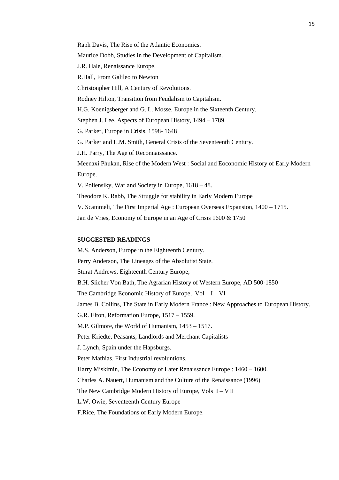Raph Davis, The Rise of the Atlantic Economics. Maurice Dobb, Studies in the Development of Capitalism. J.R. Hale, Renaissance Europe. R.Hall, From Galileo to Newton Christonpher Hill, A Century of Revolutions. Rodney Hilton, Transition from Feudalism to Capitalism. H.G. Koenigsberger and G. L. Mosse, Europe in the Sixteenth Century. Stephen J. Lee, Aspects of European History, 1494 – 1789. G. Parker, Europe in Crisis, 1598- 1648 G. Parker and L.M. Smith, General Crisis of the Seventeenth Century. J.H. Parry, The Age of Reconnaissance. Meenaxi Phukan, Rise of the Modern West : Social and Eoconomic History of Early Modern Europe. V. Poliensiky, War and Society in Europe, 1618 – 48. Theodore K. Rabb, The Struggle for stability in Early Modern Europe V. Scammeli, The First Imperial Age : European Overseas Expansion, 1400 – 1715. Jan de Vries, Economy of Europe in an Age of Crisis 1600 & 1750

#### **SUGGESTED READINGS**

M.S. Anderson, Europe in the Eighteenth Century. Perry Anderson, The Lineages of the Absolutist State. Sturat Andrews, Eighteenth Century Europe, B.H. Slicher Von Bath, The Agrarian History of Western Europe, AD 500-1850 The Cambridge Economic History of Europe,  $Vol - I - VI$ James B. Collins, The State in Early Modern France : New Approaches to European History. G.R. Elton, Reformation Europe, 1517 – 1559. M.P. Gilmore, the World of Humanism, 1453 – 1517. Peter Kriedte, Peasants, Landlords and Merchant Capitalists J. Lynch, Spain under the Hapsburgs. Peter Mathias, First Industrial revoluntions. Harry Miskimin, The Economy of Later Renaissance Europe : 1460 – 1600. Charles A. Nauert, Humanism and the Culture of the Renaissance (1996) The New Cambridge Modern History of Europe, Vols I – VII L.W. Owie, Seventeenth Century Europe F.Rice, The Foundations of Early Modern Europe.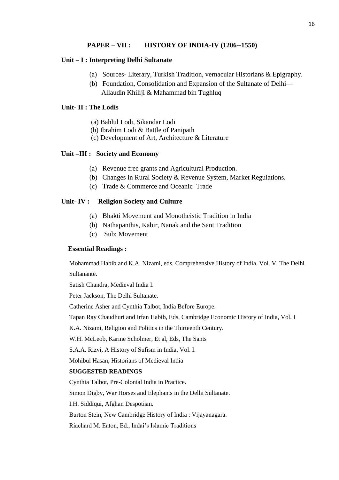## **PAPER – VII : HISTORY OF INDIA-IV (1206--1550)**

### **Unit – I : Interpreting Delhi Sultanate**

- (a) Sources- Literary, Turkish Tradition, vernacular Historians & Epigraphy.
- (b) Foundation, Consolidation and Expansion of the Sultanate of Delhi— Allaudin Khiliji & Mahammad bin Tughluq

## **Unit- II : The Lodis**

- (a) Bahlul Lodi, Sikandar Lodi
- (b) Ibrahim Lodi & Battle of Panipath
- (c) Development of Art, Architecture & Literature

## **Unit –III : Society and Economy**

- (a) Revenue free grants and Agricultural Production.
- (b) Changes in Rural Society & Revenue System, Market Regulations.
- (c) Trade & Commerce and Oceanic Trade

## **Unit- IV : Religion Society and Culture**

- (a) Bhakti Movement and Monotheistic Tradition in India
- (b) Nathapanthis, Kabir, Nanak and the Sant Tradition
- (c) Sub: Movement

### **Essential Readings :**

Mohammad Habib and K.A. Nizami, eds, Comprehensive History of India, Vol. V, The Delhi Sultanante.

Satish Chandra, Medieval India I.

Peter Jackson, The Delhi Sultanate.

Catherine Asher and Cynthia Talbot, India Before Europe.

Tapan Ray Chaudhuri and Irfan Habib, Eds, Cambridge Economic History of India, Vol. I

K.A. Nizami, Religion and Politics in the Thirteenth Century.

W.H. McLeob, Karine Scholmer, Et al, Eds, The Sants

S.A.A. Rizvi, A History of Sufism in India, Vol. I.

Mohibul Hasan, Historians of Medieval India

### **SUGGESTED READINGS**

Cynthia Talbot, Pre-Colonial India in Practice.

Simon Digby, War Horses and Elephants in the Delhi Sultanate.

I.H. Siddiqui, Afghan Despotism.

Burton Stein, New Cambridge History of India : Vijayanagara.

Riachard M. Eaton, Ed., Indai's Islamic Traditions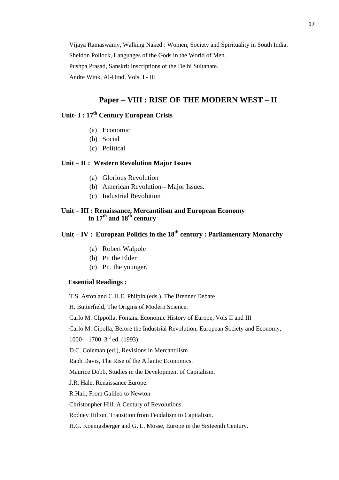Vijaya Ramaswamy, Walking Naked : Women, Society and Spirituality in South India. Sheldon Pollock, Languages of the Gods in the World of Men. Pushpa Prasad, Sanskrit Inscriptions of the Delhi Sultanate. Andre Wink, Al-Hind, Vols. I - III

## **Paper – VIII : RISE OF THE MODERN WEST – II**

## **Unit- I : 17th Century European Crisis**

- (a) Economic
- (b) Social
- (c) Political

### **Unit – II : Western Revolution Major Issues**

- (a) Glorious Revolution
- (b) American Revolution-- Major Issues.
- (c) Industrial Revolution

### **Unit – III : Renaissance, Mercantilism and European Economy in 17th and 18th century**

## **Unit – IV : European Politics in the 18th century : Parliamentary Monarchy**

- (a) Robert Walpole
- (b) Pit the Elder
- (c) Pit, the younger.

### **Essential Readings :**

T.S. Aston and C.H.E. Philpin (eds.), The Brenner Debate

H. Butterfield, The Origins of Modern Science.

Carlo M. CIppolla, Fontana Economic History of Europe, Vols II and III

Carlo M. Cipolla, Before the Industrial Revolution, European Society and Economy,

1000- 1700. 3rd ed. (1993)

D.C. Coleman (ed.), Revisions in Mercantilism

Raph Davis, The Rise of the Atlantic Economics.

Maurice Dobb, Studies in the Development of Capitalism.

J.R. Hale, Renaissance Europe.

R.Hall, From Galileo to Newton

Christonpher Hill, A Century of Revolutions.

Rodney Hilton, Transition from Feudalism to Capitalism.

H.G. Koenigsberger and G. L. Mosse, Europe in the Sixteenth Century.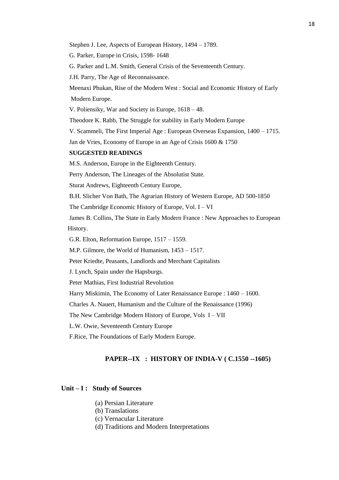Stephen J. Lee, Aspects of European History, 1494 – 1789.

G. Parker, Europe in Crisis, 1598- 1648

G. Parker and L.M. Smith, General Crisis of the Seventeenth Century.

J.H. Parry, The Age of Reconnaissance.

Meenaxi Phukan, Rise of the Modern West : Social and Economic History of Early Modern Europe.

V. Poliensiky, War and Society in Europe, 1618 – 48.

Theodore K. Rabb, The Struggle for stability in Early Modern Europe

V. Scammeli, The First Imperial Age : European Overseas Expansion, 1400 – 1715.

Jan de Vries, Economy of Europe in an Age of Crisis 1600 & 1750

### **SUGGESTED READINGS**

M.S. Anderson, Europe in the Eighteenth Century.

Perry Anderson, The Lineages of the Absolutist State.

Sturat Andrews, Eighteenth Century Europe,

B.H. Slicher Von Bath, The Agrarian History of Western Europe, AD 500-1850

The Cambridge Economic History of Europe, Vol. I – VI

James B. Collins, The State in Early Modern France : New Approaches to European History.

G.R. Elton, Reformation Europe, 1517 – 1559.

M.P. Gilmore, the World of Humanism, 1453 – 1517.

Peter Kriedte, Peasants, Landlords and Merchant Capitalists

J. Lynch, Spain under the Hapsburgs.

Peter Mathias, First Industrial Revolution

Harry Miskimin, The Economy of Later Renaissance Europe : 1460 – 1600.

Charles A. Nauert, Humanism and the Culture of the Renaissance (1996)

The New Cambridge Modern History of Europe, Vols I – VII

L.W. Owie, Seventeenth Century Europe

F.Rice, The Foundations of Early Modern Europe.

### **PAPER--IX : HISTORY OF INDIA-V ( C.1550 --1605)**

#### **Unit – I : Study of Sources**

- (a) Persian Literature
- (b) Translations
- (c) Vernacular Literature
- (d) Traditions and Modern Interpretations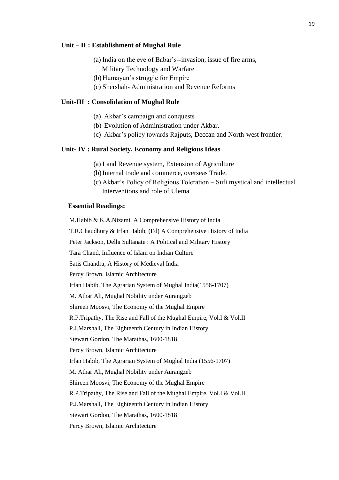### **Unit – II : Establishment of Mughal Rule**

- (a) India on the eve of Babar's--invasion, issue of fire arms,
	- Military Technology and Warfare
- (b) Humayun's struggle for Empire
- (c) Shershah- Administration and Revenue Reforms

#### **Unit-III : Consolidation of Mughal Rule**

- (a) Akbar's campaign and conquests
- (b) Evolution of Administration under Akbar.
- (c) Akbar's policy towards Rajputs, Deccan and North-west frontier.

### **Unit- IV : Rural Society, Economy and Religious Ideas**

- (a) Land Revenue system, Extension of Agriculture
- (b)Internal trade and commerce, overseas Trade.
- (c) Akbar's Policy of Religious Toleration Sufi mystical and intellectual Interventions and role of Ulema

#### **Essential Readings:**

M.Habib & K.A.Nizami, A Comprehensive History of India T.R.Chaudhury & Irfan Habib, (Ed) A Comprehensive History of India Peter Jackson, Delhi Sultanate : A Political and Military History Tara Chand, Influence of Islam on Indian Culture Satis Chandra, A History of Medieval India Percy Brown, Islamic Architecture Irfan Habib, The Agrarian System of Mughal India(1556-1707) M. Athar Ali, Mughal Nobility under Aurangzeb Shireen Moosvi, The Economy of the Mughal Empire R.P.Tripathy, The Rise and Fall of the Mughal Empire, Vol.I & Vol.II P.J.Marshall, The Eighteenth Century in Indian History Stewart Gordon, The Marathas, 1600-1818 Percy Brown, Islamic Architecture Irfan Habib, The Agrarian System of Mughal India (1556-1707) M. Athar Ali, Mughal Nobility under Aurangzeb Shireen Moosvi, The Economy of the Mughal Empire R.P.Tripathy, The Rise and Fall of the Mughal Empire, Vol.I & Vol.II P.J.Marshall, The Eighteenth Century in Indian History Stewart Gordon, The Marathas, 1600-1818 Percy Brown, Islamic Architecture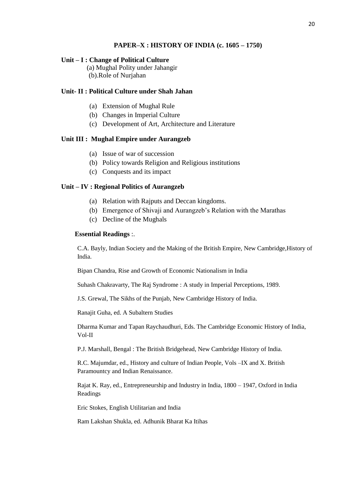### **PAPER–X : HISTORY OF INDIA (c. 1605 – 1750)**

### **Unit – I : Change of Political Culture**

 (a) Mughal Polity under Jahangir (b).Role of Nurjahan

### **Unit- II : Political Culture under Shah Jahan**

- (a) Extension of Mughal Rule
- (b) Changes in Imperial Culture
- (c) Development of Art, Architecture and Literature

### **Unit III : Mughal Empire under Aurangzeb**

- (a) Issue of war of succession
- (b) Policy towards Religion and Religious institutions
- (c) Conquests and its impact

### **Unit – IV : Regional Politics of Aurangzeb**

- (a) Relation with Rajputs and Deccan kingdoms.
- (b) Emergence of Shivaji and Aurangzeb's Relation with the Marathas
- (c) Decline of the Mughals

### **Essential Readings** :.

C.A. Bayly, Indian Society and the Making of the British Empire, New Cambridge,History of India.

Bipan Chandra, Rise and Growth of Economic Nationalism in India

Suhash Chakravarty, The Raj Syndrome : A study in Imperial Perceptions, 1989.

J.S. Grewal, The Sikhs of the Punjab, New Cambridge History of India.

Ranajit Guha, ed. A Subaltern Studies

Dharma Kumar and Tapan Raychaudhuri, Eds. The Cambridge Economic History of India, Vol-II

P.J. Marshall, Bengal : The British Bridgehead, New Cambridge History of India.

R.C. Majumdar, ed., History and culture of Indian People, Vols –IX and X. British Paramountcy and Indian Renaissance.

Rajat K. Ray, ed., Entrepreneurship and Industry in India, 1800 – 1947, Oxford in India Readings

Eric Stokes, English Utilitarian and India

Ram Lakshan Shukla, ed. Adhunik Bharat Ka Itihas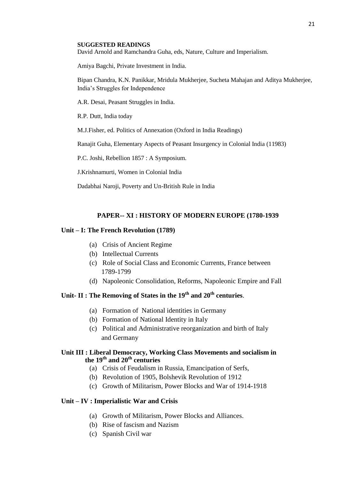#### **SUGGESTED READINGS**

David Arnold and Ramchandra Guha, eds, Nature, Culture and Imperialism.

Amiya Bagchi, Private Investment in India.

Bipan Chandra, K.N. Panikkar, Mridula Mukherjee, Sucheta Mahajan and Aditya Mukherjee, India's Struggles for Independence

A.R. Desai, Peasant Struggles in India.

R.P. Dutt, India today

M.J.Fisher, ed. Politics of Annexation (Oxford in India Readings)

Ranajit Guha, Elementary Aspects of Peasant Insurgency in Colonial India (11983)

P.C. Joshi, Rebellion 1857 : A Symposium.

J.Krishnamurti, Women in Colonial India

Dadabhai Naroji, Poverty and Un-British Rule in India

### **PAPER-- XI : HISTORY OF MODERN EUROPE (1780-1939**

#### **Unit – I: The French Revolution (1789)**

- (a) Crisis of Ancient Regime
- (b) Intellectual Currents
- (c) Role of Social Class and Economic Currents, France between 1789-1799
- (d) Napoleonic Consolidation, Reforms, Napoleonic Empire and Fall

## **Unit- II : The Removing of States in the 19th and 20th centuries**.

- (a) Formation of National identities in Germany
- (b) Formation of National Identity in Italy
- (c) Political and Administrative reorganization and birth of Italy and Germany

### **Unit III : Liberal Democracy, Working Class Movements and socialism in the 19th and 20th centuries**

- (a) Crisis of Feudalism in Russia, Emancipation of Serfs,
- (b) Revolution of 1905, Bolshevik Revolution of 1912
- (c) Growth of Militarism, Power Blocks and War of 1914-1918

### **Unit – IV : Imperialistic War and Crisis**

- (a) Growth of Militarism, Power Blocks and Alliances.
- (b) Rise of fascism and Nazism
- (c) Spanish Civil war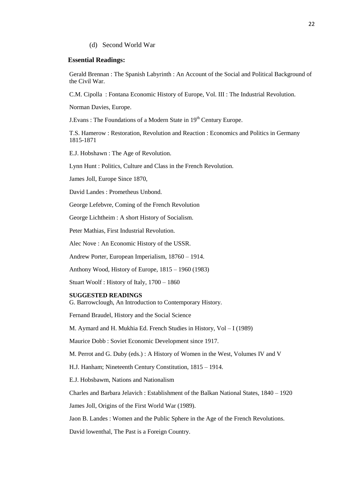#### (d) Second World War

#### **Essential Readings:**

Gerald Brennan : The Spanish Labyrinth : An Account of the Social and Political Background of the Civil War.

C.M. Cipolla : Fontana Economic History of Europe, Vol. III : The Industrial Revolution.

Norman Davies, Europe.

J.Evans : The Foundations of a Modern State in 19<sup>th</sup> Century Europe.

T.S. Hamerow : Restoration, Revolution and Reaction : Economics and Politics in Germany 1815-1871

E.J. Hobshawn : The Age of Revolution.

Lynn Hunt : Politics, Culture and Class in the French Revolution.

James Joll, Europe Since 1870,

David Landes : Prometheus Unbond.

George Lefebvre, Coming of the French Revolution

George Lichtheim : A short History of Socialism.

Peter Mathias, First Industrial Revolution.

Alec Nove : An Economic History of the USSR.

Andrew Porter, European Imperialism, 18760 – 1914.

Anthony Wood, History of Europe, 1815 – 1960 (1983)

Stuart Woolf : History of Italy, 1700 – 1860

#### **SUGGESTED READINGS**

G. Barrowclough, An Introduction to Contemporary History.

Fernand Braudel, History and the Social Science

M. Aymard and H. Mukhia Ed. French Studies in History, Vol – I (1989)

Maurice Dobb : Soviet Economic Development since 1917.

M. Perrot and G. Duby (eds.) : A History of Women in the West, Volumes IV and V

H.J. Hanham; Nineteenth Century Constitution, 1815 – 1914.

E.J. Hobsbawm, Nations and Nationalism

Charles and Barbara Jelavich : Establishment of the Balkan National States, 1840 – 1920

James Joll, Origins of the First World War (1989).

Jaon B. Landes : Women and the Public Sphere in the Age of the French Revolutions.

David lowenthal, The Past is a Foreign Country.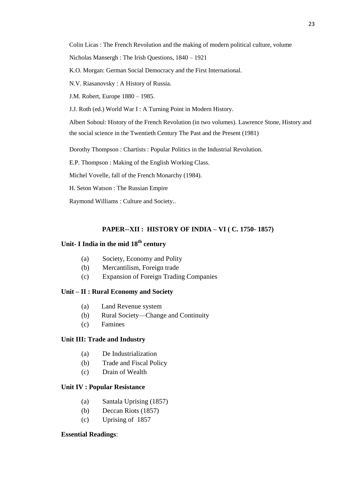Colin Licas : The French Revolution and the making of modern political culture, volume

Nicholas Mansergh : The Irish Questions, 1840 – 1921

K.O. Morgan: German Social Democracy and the First International.

N.V. Riasanovsky : A History of Russia.

J.M. Robert, Europe 1880 – 1985.

J.J. Roth (ed.) World War I : A Turning Point in Modern History.

Albert Soboul: History of the French Revolution (in two volumes). Lawrence Stone, History and the social science in the Twentieth Century The Past and the Present (1981)

Dorothy Thompson : Chartists : Popular Politics in the Industrial Revolution.

E.P. Thompson : Making of the English Working Class.

Michel Vovelle, fall of the French Monarchy (1984).

H. Seton Watson : The Russian Empire

Raymond Williams : Culture and Society..

### **PAPER--XII : HISTORY OF INDIA – VI ( C. 1750- 1857)**

## **Unit- I India in the mid 18th century**

- (a) Society, Economy and Polity
- (b) Mercantilism, Foreign trade
- (c) Expansion of Foreign Trading Companies

### **Unit – II : Rural Economy and Society**

- (a) Land Revenue system
- (b) Rural Society—Change and Continuity
- (c) Famines

### **Unit III: Trade and Industry**

- (a) De Industrialization
- (b) Trade and Fiscal Policy
- (c) Drain of Wealth

### **Unit IV : Popular Resistance**

- (a) Santala Uprising (1857)
- (b) Deccan Riots (1857)
- (c) Uprising of 1857

### **Essential Readings**: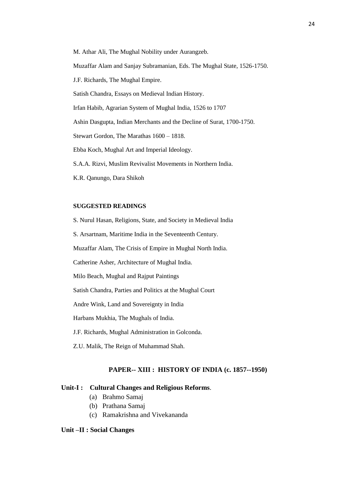M. Athar Ali, The Mughal Nobility under Aurangzeb. Muzaffar Alam and Sanjay Subramanian, Eds. The Mughal State, 1526-1750. J.F. Richards, The Mughal Empire. Satish Chandra, Essays on Medieval Indian History. Irfan Habib, Agrarian System of Mughal India, 1526 to 1707 Ashin Dasgupta, Indian Merchants and the Decline of Surat, 1700-1750. Stewart Gordon, The Marathas 1600 – 1818. Ebba Koch, Mughal Art and Imperial Ideology. S.A.A. Rizvi, Muslim Revivalist Movements in Northern India. K.R. Qanungo, Dara Shikoh

### **SUGGESTED READINGS**

S. Nurul Hasan, Religions, State, and Society in Medieval India

S. Arsartnam, Maritime India in the Seventeenth Century.

Muzaffar Alam, The Crisis of Empire in Mughal North India.

Catherine Asher, Architecture of Mughal India.

Milo Beach, Mughal and Rajput Paintings

Satish Chandra, Parties and Politics at the Mughal Court

Andre Wink, Land and Sovereignty in India

Harbans Mukhia, The Mughals of India.

J.F. Richards, Mughal Administration in Golconda.

Z.U. Malik, The Reign of Muhammad Shah.

### **PAPER-- XIII : HISTORY OF INDIA (c. 1857--1950)**

### **Unit-I : Cultural Changes and Religious Reforms**.

- (a) Brahmo Samaj
- (b) Prathana Samaj
- (c) Ramakrishna and Vivekananda

### **Unit –II : Social Changes**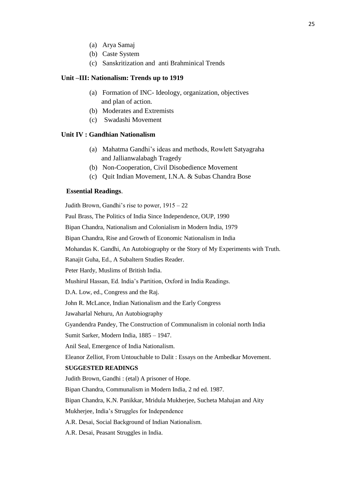- (a) Arya Samaj
- (b) Caste System
- (c) Sanskritization and anti Brahminical Trends

### **Unit –III: Nationalism: Trends up to 1919**

- (a) Formation of INC- Ideology, organization, objectives and plan of action.
- (b) Moderates and Extremists
- (c) Swadashi Movement

## **Unit IV : Gandhian Nationalism**

- (a) Mahatma Gandhi's ideas and methods, Rowlett Satyagraha and Jallianwalabagh Tragedy
- (b) Non-Cooperation, Civil Disobedience Movement
- (c) Quit Indian Movement, I.N.A. & Subas Chandra Bose

#### **Essential Readings**.

Judith Brown, Gandhi's rise to power, 1915 – 22 Paul Brass, The Politics of India Since Independence, OUP, 1990 Bipan Chandra, Nationalism and Colonialism in Modern India, 1979 Bipan Chandra, Rise and Growth of Economic Nationalism in India Mohandas K. Gandhi, An Autobiography or the Story of My Experiments with Truth. Ranajit Guha, Ed., A Subaltern Studies Reader. Peter Hardy, Muslims of British India. Mushirul Hassan, Ed. India's Partition, Oxford in India Readings. D.A. Low, ed., Congress and the Raj. John R. McLance, Indian Nationalism and the Early Congress Jawaharlal Nehuru, An Autobiography Gyandendra Pandey, The Construction of Communalism in colonial north India Sumit Sarker, Modern India, 1885 – 1947. Anil Seal, Emergence of India Nationalism. Eleanor Zelliot, From Untouchable to Dalit : Essays on the Ambedkar Movement. **SUGGESTED READINGS**  Judith Brown, Gandhi : (etal) A prisoner of Hope. Bipan Chandra, Communalism in Modern India, 2 nd ed. 1987. Bipan Chandra, K.N. Panikkar, Mridula Mukherjee, Sucheta Mahajan and Aity Mukherjee, India's Struggles for Independence A.R. Desai, Social Background of Indian Nationalism. A.R. Desai, Peasant Struggles in India.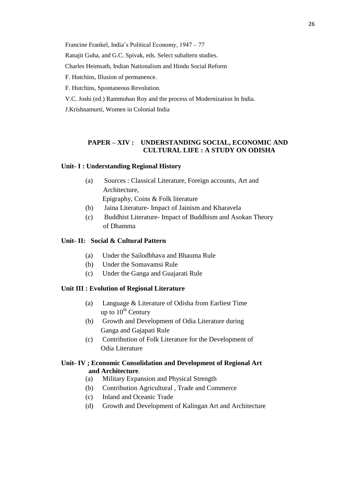Francine Frankel, India's Political Economy, 1947 – 77

Ranajit Guha, and G.C. Spivak, eds. Select subaltern studies.

Charles Heimsath, Indian Nationalism and Hindu Social Reform

F. Hutchins, Illusion of permanence.

F. Hutchins, Spontaneous Revolution.

V.C. Joshi (ed.) Rammohan Roy and the process of Modernization In India.

J.Krishnamurti, Women in Colonial India

## **PAPER – XIV : UNDERSTANDING SOCIAL, ECONOMIC AND CULTURAL LIFE : A STUDY ON ODISHA**

## **Unit- I : Understanding Regional History**

- (a) Sources : Classical Literature, Foreign accounts, Art and Architecture, Epigraphy, Coins & Folk literature
- (b) Jaina Literature- Impact of Jainism and Kharavela
- (c) Buddhist Literature- Impact of Buddhism and Asokan Theory of Dhamma

### **Unit- II: Social & Cultural Pattern**

- (a) Under the Sailodbhava and Bhauma Rule
- (b) Under the Somavamsi Rule
- (c) Under the Ganga and Guajarati Rule

### **Unit III : Evolution of Regional Literature**

- (a) Language & Literature of Odisha from Earliest Time up to  $10^{th}$  Century
- (b) Growth and Development of Odia Literature during Ganga and Gajapati Rule
- (c) Contribution of Folk Literature for the Development of Odia Literature

## **Unit- IV ; Economic Consolidation and Development of Regional Art and Architecture**.

- (a) Military Expansion and Physical Strength
- (b) Contribution Agricultural , Trade and Commerce
- (c) Inland and Oceanic Trade
- (d) Growth and Development of Kalingan Art and Architecture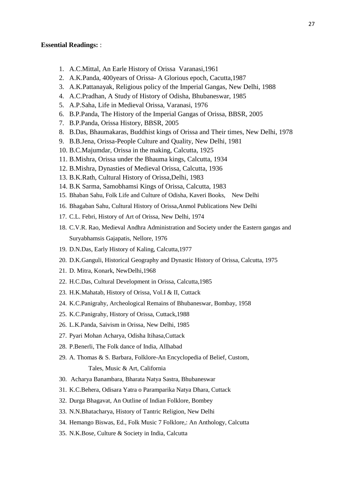#### **Essential Readings:** :

- 1. A.C.Mittal, An Earle History of Orissa Varanasi,1961
- 2. A.K.Panda, 400years of Orissa- A Glorious epoch, Cacutta,1987
- 3. A.K.Pattanayak, Religious policy of the Imperial Gangas, New Delhi, 1988
- 4. A.C.Pradhan, A Study of History of Odisha, Bhubaneswar, 1985
- 5. A.P.Saha, Life in Medieval Orissa, Varanasi, 1976
- 6. B.P.Panda, The History of the Imperial Gangas of Orissa, BBSR, 2005
- 7. B.P.Panda, Orissa History, BBSR, 2005
- 8. B.Das, Bhaumakaras, Buddhist kings of Orissa and Their times, New Delhi, 1978
- 9. B.B.Jena, Orissa-People Culture and Quality, New Delhi, 1981
- 10. B.C.Majumdar, Orissa in the making, Calcutta, 1925
- 11. B.Mishra, Orissa under the Bhauma kings, Calcutta, 1934
- 12. B.Mishra, Dynasties of Medieval Orissa, Calcutta, 1936
- 13. B.K.Rath, Cultural History of Orissa,Delhi, 1983
- 14. B.K Sarma, Samobhamsi Kings of Orissa, Calcutta, 1983
- 15. Bhaban Sahu, Folk Life and Culture of Odisha, Kaveri Books, New Delhi
- 16. Bhagaban Sahu, Cultural History of Orissa,Anmol Publications New Delhi
- 17. C.L. Febri, History of Art of Orissa, New Delhi, 1974
- 18. C.V.R. Rao, Medieval Andhra Administration and Society under the Eastern gangas and Suryabhamsis Gajapatis, Nellore, 1976
- 19. D.N.Das, Early History of Kaling, Calcutta,1977
- 20. D.K.Ganguli, Historical Geography and Dynastic History of Orissa, Calcutta, 1975
- 21. D. Mitra, Konark, NewDelhi,1968
- 22. H.C.Das, Cultural Development in Orissa, Calcutta,1985
- 23. H.K.Mahatab, History of Orissa, Vol.I & II, Cuttack
- 24. K.C.Panigrahy, Archeological Remains of Bhubaneswar, Bombay, 1958
- 25. K.C.Panigrahy, History of Orissa, Cuttack,1988
- 26. L.K.Panda, Saivism in Orissa, New Delhi, 1985
- 27. Pyari Mohan Acharya, Odisha Itihasa,Cuttack
- 28. P.Benerli, The Folk dance of India, Allhabad
- 29. A. Thomas & S. Barbara, Folklore-An Encyclopedia of Belief, Custom, Tales, Music & Art, California
- 30. Acharya Banambara, Bharata Natya Sastra, Bhubaneswar
- 31. K.C.Behera, Odisara Yatra o Paramparika Natya Dhara, Cuttack
- 32. Durga Bhagavat, An Outline of Indian Folklore, Bombey
- 33. N.N.Bhatacharya, History of Tantric Religion, New Delhi
- 34. Hemango Biswas, Ed., Folk Music 7 Folklore,: An Anthology, Calcutta
- 35. N.K.Bose, Culture & Society in India, Calcutta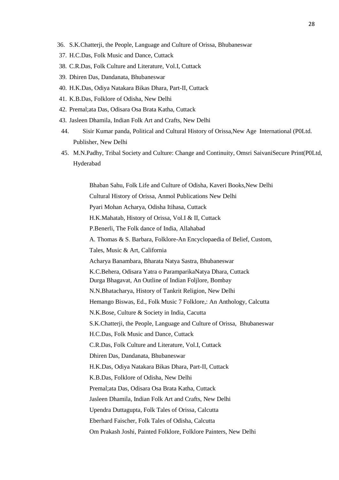- 36. S.K.Chatterji, the People, Language and Culture of Orissa, Bhubaneswar
- 37. H.C.Das, Folk Music and Dance, Cuttack
- 38. C.R.Das, Folk Culture and Literature, Vol.I, Cuttack
- 39. Dhiren Das, Dandanata, Bhubaneswar
- 40. H.K.Das, Odiya Natakara Bikas Dhara, Part-II, Cuttack
- 41. K.B.Das, Folklore of Odisha, New Delhi
- 42. Premal;ata Das, Odisara Osa Brata Katha, Cuttack
- 43. Jasleen Dhamila, Indian Folk Art and Crafts, New Delhi
- 44. Sisir Kumar panda, Political and Cultural History of Orissa,New Age International (P0Ltd. Publisher, New Delhi
- 45. M.N.Padhy, Tribal Society and Culture: Change and Continuity, Omsri SaivaniSecure Print(P0Ltd, Hyderabad

Bhaban Sahu, Folk Life and Culture of Odisha, Kaveri Books,New Delhi Cultural History of Orissa, Anmol Publications New Delhi Pyari Mohan Acharya, Odisha Itihasa, Cuttack H.K.Mahatab, History of Orissa, Vol.I & II, Cuttack P.Benerli, The Folk dance of India, Allahabad A. Thomas & S. Barbara, Folklore-An Encyclopaedia of Belief, Custom, Tales, Music & Art, California Acharya Banambara, Bharata Natya Sastra, Bhubaneswar K.C.Behera, Odisara Yatra o ParamparikaNatya Dhara, Cuttack Durga Bhagavat, An Outline of Indian Foljlore, Bombay N.N.Bhatacharya, History of Tankrit Religion, New Delhi Hemango Biswas, Ed., Folk Music 7 Folklore,: An Anthology, Calcutta N.K.Bose, Culture & Society in India, Cacutta S.K.Chatterji, the People, Language and Culture of Orissa, Bhubaneswar H.C.Das, Folk Music and Dance, Cuttack C.R.Das, Folk Culture and Literature, Vol.I, Cuttack Dhiren Das, Dandanata, Bhubaneswar H.K.Das, Odiya Natakara Bikas Dhara, Part-II, Cuttack K.B.Das, Folklore of Odisha, New Delhi Premal;ata Das, Odisara Osa Brata Katha, Cuttack Jasleen Dhamila, Indian Folk Art and Crafts, New Delhi Upendra Duttagupta, Folk Tales of Orissa, Calcutta Eberhard Faischer, Folk Tales of Odisha, Calcutta Om Prakash Joshi, Painted Folklore, Folklore Painters, New Delhi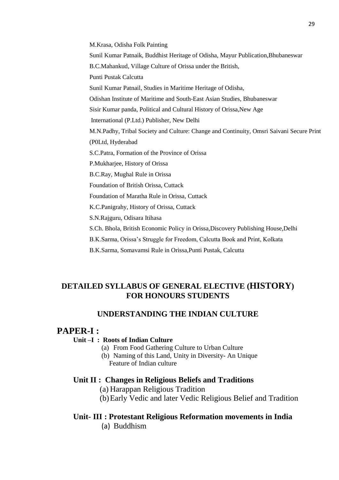M.Krasa, Odisha Folk Painting Sunil Kumar Patnaik, Buddhist Heritage of Odisha, Mayur Publication,Bhubaneswar B.C.Mahankud, Village Culture of Orissa under the British, Punti Pustak Calcutta Sunil Kumar Patnail, Studies in Maritime Heritage of Odisha, Odishan Institute of Maritime and South-East Asian Studies, Bhubaneswar Sisir Kumar panda, Political and Cultural History of Orissa,New Age International (P.Ltd.) Publisher, New Delhi M.N.Padhy, Tribal Society and Culture: Change and Continuity, Omsri Saivani Secure Print (P0Ltd, Hyderabad S.C.Patra, Formation of the Province of Orissa P.Mukharjee, History of Orissa B.C.Ray, Mughal Rule in Orissa Foundation of British Orissa, Cuttack Foundation of Maratha Rule in Orissa, Cuttack K.C.Panigrahy, History of Orissa, Cuttack S.N.Rajguru, Odisara Itihasa S.Ch. Bhola, British Economic Policy in Orissa,Discovery Publishing House,Delhi B.K.Sarma, Orissa's Struggle for Freedom, Calcutta Book and Print, Kolkata

B.K.Sarma, Somavamsi Rule in Orissa,Punti Pustak, Calcutta

## **DETAILED SYLLABUS OF GENERAL ELECTIVE (HISTORY) FOR HONOURS STUDENTS**

## **UNDERSTANDING THE INDIAN CULTURE**

## **PAPER-I :**

## **Unit –I : Roots of Indian Culture**

- (a) From Food Gathering Culture to Urban Culture
- (b) Naming of this Land, Unity in Diversity- An Unique Feature of Indian culture

## **Unit II : Changes in Religious Beliefs and Traditions**

- (a) Harappan Religious Tradition
- (b)Early Vedic and later Vedic Religious Belief and Tradition

## **Unit- III : Protestant Religious Reformation movements in India**

(a) Buddhism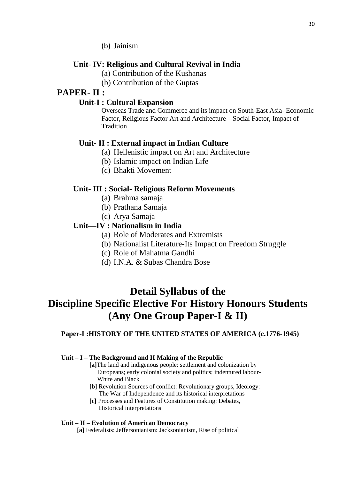(b) Jainism

## **Unit- IV: Religious and Cultural Revival in India**

(a) Contribution of the Kushanas

(b) Contribution of the Guptas

## **PAPER- II :**

## **Unit-I : Cultural Expansion**

Overseas Trade and Commerce and its impact on South-East Asia- Economic Factor, Religious Factor Art and Architecture—Social Factor, Impact of **Tradition** 

## **Unit- II : External impact in Indian Culture**

- (a) Hellenistic impact on Art and Architecture
- (b) Islamic impact on Indian Life
- (c) Bhakti Movement

## **Unit- III : Social- Religious Reform Movements**

- (a) Brahma samaja
- (b) Prathana Samaja
- (c) Arya Samaja

## **Unit—IV : Nationalism in India**

- (a) Role of Moderates and Extremists
- (b) Nationalist Literature-Its Impact on Freedom Struggle
- (c) Role of Mahatma Gandhi
- (d) I.N.A. & Subas Chandra Bose

# **Detail Syllabus of the Discipline Specific Elective For History Honours Students (Any One Group Paper-I & II)**

## **Paper-I :HISTORY OF THE UNITED STATES OF AMERICA (c.1776-1945)**

## **Unit – I – The Background and II Making of the Republic**

**[a]**The land and indigenous people: settlement and colonization by Europeans; early colonial society and politics; indentured labour- White and Black

- **[b]** Revolution Sources of conflict: Revolutionary groups, Ideology: The War of Independence and its historical interpretations
- **[c]** Processes and Features of Constitution making: Debates, Historical interpretations

## **Unit – II – Evolution of American Democracy**

 **[a]** Federalists: Jeffersonianism: Jacksonianism, Rise of political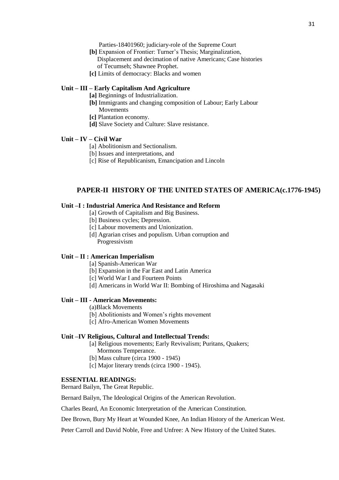Parties-18401960; judiciary-role of the Supreme Court

- **[b]** Expansion of Frontier: Turner's Thesis; Marginalization, Displacement and decimation of native Americans; Case histories of Tecumseh; Shawnee Prophet.
- **[c]** Limits of democracy: Blacks and women

#### **Unit – III – Early Capitalism And Agriculture**

- **[a]** Beginnings of Industrialization.
- **[b]** Immigrants and changing composition of Labour; Early Labour Movements
- **[c]** Plantation economy.
- **[d]** Slave Society and Culture: Slave resistance.

### **Unit – IV – Civil War**

- [a] Abolitionism and Sectionalism.
- [b] Issues and interpretations, and
- [c] Rise of Republicanism, Emancipation and Lincoln

### **PAPER-II HISTORY OF THE UNITED STATES OF AMERICA(c.1776-1945)**

### **Unit –I : Industrial America And Resistance and Reform**

- [a] Growth of Capitalism and Big Business.
- [b] Business cycles; Depression.
- [c] Labour movements and Unionization.
- [d] Agrarian crises and populism. Urban corruption and Progressivism

### **Unit – II : American Imperialism**

- [a] Spanish-American War
- [b] Expansion in the Far East and Latin America
- [c] World War I and Fourteen Points
- [d] Americans in World War II: Bombing of Hiroshima and Nagasaki

### **Unit – III - American Movements:**

- (a)Black Movements
- [b] Abolitionists and Women's rights movement
- [c] Afro-American Women Movements

### **Unit –IV Religious, Cultural and Intellectual Trends:**

- [a] Religious movements; Early Revivalism; Puritans, Quakers; Mormons Temperance.
- [b] Mass culture (circa 1900 1945)
- [c] Major literary trends (circa 1900 1945).

#### **ESSENTIAL READINGS:**

Bernard Bailyn, The Great Republic.

Bernard Bailyn, The Ideological Origins of the American Revolution.

Charles Beard, An Economic Interpretation of the American Constitution.

Dee Brown, Bury My Heart at Wounded Knee, An Indian History of the American West.

Peter Carroll and David Noble, Free and Unfree: A New History of the United States.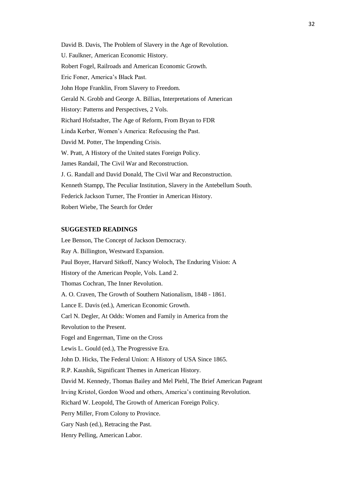David B. Davis, The Problem of Slavery in the Age of Revolution. U. Faulkner, American Economic History. Robert Fogel, Railroads and American Economic Growth. Eric Foner, America's Black Past. John Hope Franklin, From Slavery to Freedom. Gerald N. Grobb and George A. Billias, Interpretations of American History: Patterns and Perspectives, 2 Vols. Richard Hofstadter, The Age of Reform, From Bryan to FDR Linda Kerber, Women's America: Refocusing the Past. David M. Potter, The Impending Crisis. W. Pratt, A History of the United states Foreign Policy. James Randail, The Civil War and Reconstruction. J. G. Randall and David Donald, The Civil War and Reconstruction. Kenneth Stampp, The Peculiar Institution, Slavery in the Antebellum South. Federick Jackson Turner, The Frontier in American History. Robert Wiebe, The Search for Order

### **SUGGESTED READINGS**

Lee Benson, The Concept of Jackson Democracy. Ray A. Billington, Westward Expansion. Paul Boyer, Harvard Sitkoff, Nancy Woloch, The Enduring Vision: A History of the American People, Vols. Land 2. Thomas Cochran, The Inner Revolution. A. O. Craven, The Growth of Southern Nationalism, 1848 - 1861. Lance E. Davis (ed.), American Economic Growth. Carl N. Degler, At Odds: Women and Family in America from the Revolution to the Present. Fogel and Engerman, Time on the Cross Lewis L. Gould (ed.), The Progressive Era. John D. Hicks, The Federal Union: A History of USA Since 1865. R.P. Kaushik, Significant Themes in American History. David M. Kennedy, Thomas Bailey and Mel Piehl, The Brief American Pageant Irving Kristol, Gordon Wood and others, America's continuing Revolution. Richard W. Leopold, The Growth of American Foreign Policy. Perry Miller, From Colony to Province. Gary Nash (ed.), Retracing the Past. Henry Pelling, American Labor.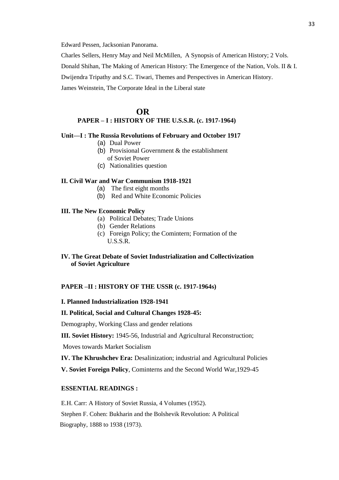Edward Pessen, Jacksonian Panorama.

Charles Sellers, Henry May and Neil McMillen, A Synopsis of American History; 2 Vols.

Donald Shihan, The Making of American History: The Emergence of the Nation, Vols. II & I.

Dwijendra Tripathy and S.C. Tiwari, Themes and Perspectives in American History.

James Weinstein, The Corporate Ideal in the Liberal state

## **OR PAPER – I : HISTORY OF THE U.S.S.R. (c. 1917-1964)**

#### **Unit—I : The Russia Revolutions of February and October 1917**

- (a) Dual Power
- (b) Provisional Government & the establishment of Soviet Power
- (c) Nationalities question

#### **II. Civil War and War Communism 1918-1921**

- (a) The first eight months
- (b) Red and White Economic Policies

### **III. The New Economic Policy**

- (a) Political Debates; Trade Unions
- (b) Gender Relations
- (c) Foreign Policy; the Comintern; Formation of the U.S.S.R.

### **IV. The Great Debate of Soviet Industrialization and Collectivization of Soviet Agriculture**

#### **PAPER –II : HISTORY OF THE USSR (c. 1917-1964s)**

#### **I. Planned Industrialization 1928-1941**

### **II. Political, Social and Cultural Changes 1928-45:**

Demography, Working Class and gender relations

**III. Soviet History:** 1945-56, Industrial and Agricultural Reconstruction;

Moves towards Market Socialism

**IV. The Khrushchev Era:** Desalinization; industrial and Agricultural Policies

**V. Soviet Foreign Policy**, Cominterns and the Second World War,1929-45

### **ESSENTIAL READINGS :**

E.H. Carr: A History of Soviet Russia, 4 Volumes (1952). Stephen F. Cohen: Bukharin and the Bolshevik Revolution: A Political Biography, 1888 to 1938 (1973).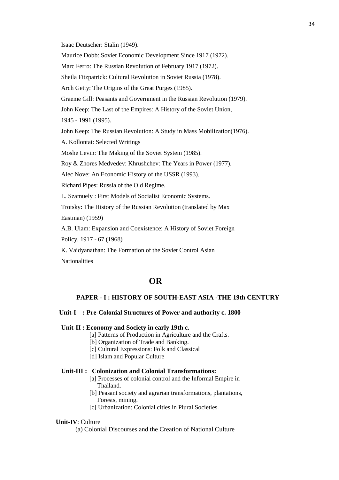Isaac Deutscher: Stalin (1949).

Maurice Dobb: Soviet Economic Development Since 1917 (1972).

Marc Ferro: The Russian Revolution of February 1917 (1972).

Sheila Fitzpatrick: Cultural Revolution in Soviet Russia (1978).

Arch Getty: The Origins of the Great Purges (1985).

Graeme Gill: Peasants and Government in the Russian Revolution (1979).

John Keep: The Last of the Empires: A History of the Soviet Union,

1945 - 1991 (1995).

John Keep: The Russian Revolution: A Study in Mass Mobilization(1976).

A. Kollontai: Selected Writings

Moshe Levin: The Making of the Soviet System (1985).

Roy & Zhores Medvedev: Khrushchev: The Years in Power (1977).

Alec Nove: An Economic History of the USSR (1993).

Richard Pipes: Russia of the Old Regime.

L. Szamuely : First Models of Socialist Economic Systems.

Trotsky: The History of the Russian Revolution (translated by Max

Eastman) (1959)

A.B. Ulam: Expansion and Coexistence: A History of Soviet Foreign

Policy, 1917 - 67 (1968)

K. Vaidyanathan: The Formation of the Soviet Control Asian **Nationalities** 

## **OR**

### **PAPER - I : HISTORY OF SOUTH-EAST ASIA -THE 19th CENTURY**

### **Unit-I : Pre-Colonial Structures of Power and authority c. 1800**

#### **Unit-II : Economy and Society in early 19th c.**

[a] Patterns of Production in Agriculture and the Crafts.

- [b] Organization of Trade and Banking.
- [c] Cultural Expressions: Folk and Classical
- [d] Islam and Popular Culture

### **Unit-III : Colonization and Colonial Transformations:**

- [a] Processes of colonial control and the Informal Empire in Thailand.
- [b] Peasant society and agrarian transformations, plantations, Forests, mining.
- [c] Urbanization: Colonial cities in Plural Societies.

### **Unit-IV**: Culture

(a) Colonial Discourses and the Creation of National Culture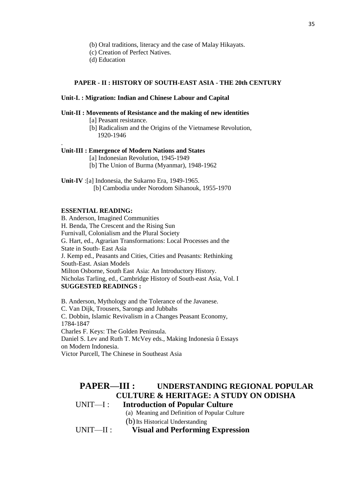- (c) Creation of Perfect Natives.
- (d) Education

### **PAPER - II : HISTORY OF SOUTH-EAST ASIA - THE 20th CENTURY**

#### **Unit-I. : Migration: Indian and Chinese Labour and Capital**

### **Unit-II : Movements of Resistance and the making of new identities**

- [a] Peasant resistance.
- [b] Radicalism and the Origins of the Vietnamese Revolution, 1920-1946

#### **Unit-III : Emergence of Modern Nations and States**

[a] Indonesian Revolution, 1945-1949

[b] The Union of Burma (Myanmar), 1948-1962

**Unit-IV** :[a] Indonesia, the Sukarno Era, 1949-1965. [b] Cambodia under Norodom Sihanouk, 1955-1970

### **ESSENTIAL READING:**

.

B. Anderson, Imagined Communities H. Benda, The Crescent and the Rising Sun Furnivall, Colonialism and the Plural Society G. Hart, ed., Agrarian Transformations: Local Processes and the State in South- East Asia J. Kemp ed., Peasants and Cities, Cities and Peasants: Rethinking South-East. Asian Models Milton Osborne, South East Asia: An Introductory History. Nicholas Tarling, ed., Cambridge History of South-east Asia, Vol. I **SUGGESTED READINGS :**

B. Anderson, Mythology and the Tolerance of the Javanese. C. Van Dijk, Trousers, Sarongs and Jubbahs C. Dobbin, Islamic Revivalism in a Changes Peasant Economy, 1784-1847 Charles F. Keys: The Golden Peninsula. Daniel S. Lev and Ruth T. McVey eds., Making Indonesia û Essays on Modern Indonesia. Victor Purcell, The Chinese in Southeast Asia

## **PAPER—III : UNDERSTANDING REGIONAL POPULAR CULTURE & HERITAGE: A STUDY ON ODISHA** UNIT—I : **Introduction of Popular Culture** (a) Meaning and Definition of Popular Culture

(b) Its Historical Understanding

UNIT—II : **Visual and Performing Expression**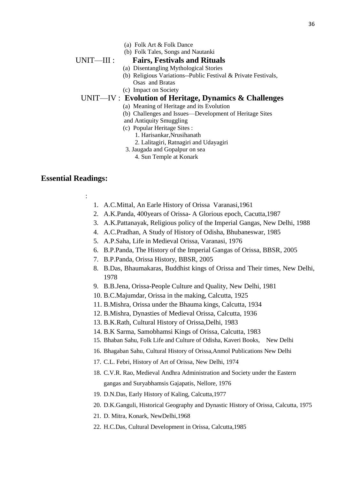- (a) Folk Art & Folk Dance
- (b) Folk Tales, Songs and Nautanki

## UNIT—III : **Fairs, Festivals and Rituals**

- (a) Disentangling Mythological Stories
- 
- (b) Religious Variations--Public Festival & Private Festivals, Osas and Bratas
- (c) Impact on Society

## UNIT—IV : **Evolution of Heritage, Dynamics & Challenges**

- (a) Meaning of Heritage and its Evolution
- (b) Challenges and Issues—Development of Heritage Sites
- and Antiquity Smuggling
- (c) Popular Heritage Sites :
	- 1. Harisankar,Nrusihanath
	- 2. Lalitagiri, Ratnagiri and Udayagiri
- 3. Jaugada and Gopalpur on sea
	- 4. Sun Temple at Konark

### **Essential Readings:**

:

- 1. A.C.Mittal, An Earle History of Orissa Varanasi,1961
- 2. A.K.Panda, 400years of Orissa- A Glorious epoch, Cacutta,1987
- 3. A.K.Pattanayak, Religious policy of the Imperial Gangas, New Delhi, 1988
- 4. A.C.Pradhan, A Study of History of Odisha, Bhubaneswar, 1985
- 5. A.P.Saha, Life in Medieval Orissa, Varanasi, 1976
- 6. B.P.Panda, The History of the Imperial Gangas of Orissa, BBSR, 2005
- 7. B.P.Panda, Orissa History, BBSR, 2005
- 8. B.Das, Bhaumakaras, Buddhist kings of Orissa and Their times, New Delhi, 1978
- 9. B.B.Jena, Orissa-People Culture and Quality, New Delhi, 1981
- 10. B.C.Majumdar, Orissa in the making, Calcutta, 1925
- 11. B.Mishra, Orissa under the Bhauma kings, Calcutta, 1934
- 12. B.Mishra, Dynasties of Medieval Orissa, Calcutta, 1936
- 13. B.K.Rath, Cultural History of Orissa,Delhi, 1983
- 14. B.K Sarma, Samobhamsi Kings of Orissa, Calcutta, 1983
- 15. Bhaban Sahu, Folk Life and Culture of Odisha, Kaveri Books, New Delhi
- 16. Bhagaban Sahu, Cultural History of Orissa,Anmol Publications New Delhi
- 17. C.L. Febri, History of Art of Orissa, New Delhi, 1974
- 18. C.V.R. Rao, Medieval Andhra Administration and Society under the Eastern gangas and Suryabhamsis Gajapatis, Nellore, 1976
- 19. D.N.Das, Early History of Kaling, Calcutta,1977
- 20. D.K.Ganguli, Historical Geography and Dynastic History of Orissa, Calcutta, 1975
- 21. D. Mitra, Konark, NewDelhi,1968
- 22. H.C.Das, Cultural Development in Orissa, Calcutta,1985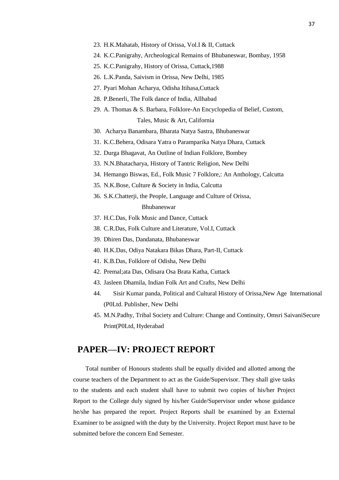- 23. H.K.Mahatab, History of Orissa, Vol.I & II, Cuttack
- 24. K.C.Panigrahy, Archeological Remains of Bhubaneswar, Bombay, 1958
- 25. K.C.Panigrahy, History of Orissa, Cuttack,1988
- 26. L.K.Panda, Saivism in Orissa, New Delhi, 1985
- 27. Pyari Mohan Acharya, Odisha Itihasa,Cuttack
- 28. P.Benerli, The Folk dance of India, Allhabad
- 29. A. Thomas & S. Barbara, Folklore-An Encyclopedia of Belief, Custom, Tales, Music & Art, California
- 30. Acharya Banambara, Bharata Natya Sastra, Bhubaneswar
- 31. K.C.Behera, Odisara Yatra o Paramparika Natya Dhara, Cuttack
- 32. Durga Bhagavat, An Outline of Indian Folklore, Bombey
- 33. N.N.Bhatacharya, History of Tantric Religion, New Delhi
- 34. Hemango Biswas, Ed., Folk Music 7 Folklore,: An Anthology, Calcutta
- 35. N.K.Bose, Culture & Society in India, Calcutta
- 36. S.K.Chatterji, the People, Language and Culture of Orissa,

### Bhubaneswar

- 37. H.C.Das, Folk Music and Dance, Cuttack
- 38. C.R.Das, Folk Culture and Literature, Vol.I, Cuttack
- 39. Dhiren Das, Dandanata, Bhubaneswar
- 40. H.K.Das, Odiya Natakara Bikas Dhara, Part-II, Cuttack
- 41. K.B.Das, Folklore of Odisha, New Delhi
- 42. Premal;ata Das, Odisara Osa Brata Katha, Cuttack
- 43. Jasleen Dhamila, Indian Folk Art and Crafts, New Delhi
- 44. Sisir Kumar panda, Political and Cultural History of Orissa,New Age International (P0Ltd. Publisher, New Delhi
- 45. M.N.Padhy, Tribal Society and Culture: Change and Continuity, Omsri SaivaniSecure Print(P0Ltd, Hyderabad

## **PAPER—IV: PROJECT REPORT**

Total number of Honours students shall be equally divided and allotted among the course teachers of the Department to act as the Guide/Supervisor. They shall give tasks to the students and each student shall have to submit two copies of his/her Project Report to the College duly signed by his/her Guide/Supervisor under whose guidance he/she has prepared the report. Project Reports shall be examined by an External Examiner to be assigned with the duty by the University. Project Report must have to be submitted before the concern End Semester.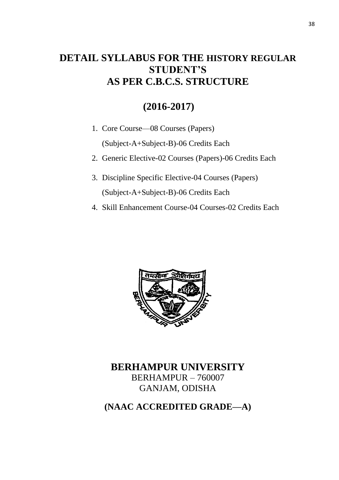# **DETAIL SYLLABUS FOR THE HISTORY REGULAR STUDENT'S AS PER C.B.C.S. STRUCTURE**

# **(2016-2017)**

- 1. Core Course—08 Courses (Papers) (Subject-A+Subject-B)-06 Credits Each
- 2. Generic Elective-02 Courses (Papers)-06 Credits Each
- 3. Discipline Specific Elective-04 Courses (Papers) (Subject-A+Subject-B)-06 Credits Each
- 4. Skill Enhancement Course-04 Courses-02 Credits Each



# **BERHAMPUR UNIVERSITY** BERHAMPUR – 760007 GANJAM, ODISHA

**(NAAC ACCREDITED GRADE—A)**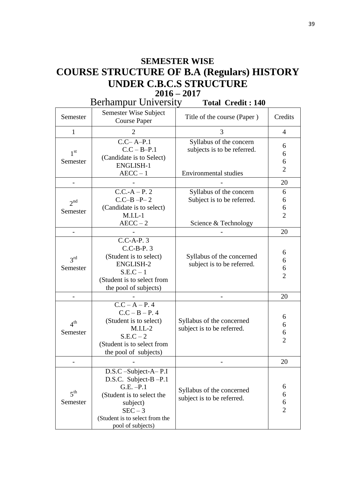# **SEMESTER WISE COURSE STRUCTURE OF B.A (Regulars) HISTORY UNDER C.B.C.S STRUCTURE 2016 – 2017**

Berhampur University Total Credit : 140

| Semester                    | Semester Wise Subject<br><b>Course Paper</b>                                                                                                                                | Title of the course (Paper)                                                     | Credits                       |
|-----------------------------|-----------------------------------------------------------------------------------------------------------------------------------------------------------------------------|---------------------------------------------------------------------------------|-------------------------------|
| $\mathbf{1}$                | $\overline{2}$                                                                                                                                                              | 3                                                                               | $\overline{4}$                |
| 1 <sup>st</sup><br>Semester | $C.C-A-P.1$<br>$C.C - B-P.1$<br>(Candidate is to Select)<br><b>ENGLISH-1</b><br>$AECC - 1$                                                                                  | Syllabus of the concern<br>subjects is to be referred.<br>Environmental studies | 6<br>6<br>6<br>$\overline{2}$ |
|                             |                                                                                                                                                                             |                                                                                 | 20                            |
| $2^{nd}$<br>Semester        | $C.C.-A-P.2$<br>$C.C-B-P-2$<br>(Candidate is to select)<br>$M.I.L-1$<br>$AECC - 2$                                                                                          | Syllabus of the concern<br>Subject is to be referred.<br>Science & Technology   | 6<br>6<br>6<br>$\overline{2}$ |
|                             |                                                                                                                                                                             |                                                                                 | 20                            |
| 3 <sup>rd</sup><br>Semester | $C.C-A-P.3$<br>$C.C-B-P.3$<br>(Student is to select)<br><b>ENGLISH-2</b><br>$S.E.C-1$<br>(Student is to select from<br>the pool of subjects)                                | Syllabus of the concerned<br>subject is to be referred.                         | 6<br>6<br>6<br>$\overline{2}$ |
|                             |                                                                                                                                                                             |                                                                                 | 20                            |
| 4 <sup>th</sup><br>Semester | $C.C - A - P. 4$<br>$C.C - B - P. 4$<br>(Student is to select)<br>$M.I.L-2$<br>$S.E.C-2$<br>(Student is to select from<br>the pool of subjects)                             | Syllabus of the concerned<br>subject is to be referred.                         | 6<br>6<br>6<br>$\overline{2}$ |
|                             |                                                                                                                                                                             |                                                                                 | 20                            |
| 5 <sup>th</sup><br>Semester | $D.S.C$ -Subject-A– $P.I$<br>D.S.C. Subject-B-P.1<br>$G.E. -P.1$<br>(Student is to select the<br>subject)<br>$SEC-3$<br>(Student is to select from the<br>pool of subjects) | Syllabus of the concerned<br>subject is to be referred.                         | 6<br>6<br>6<br>$\overline{2}$ |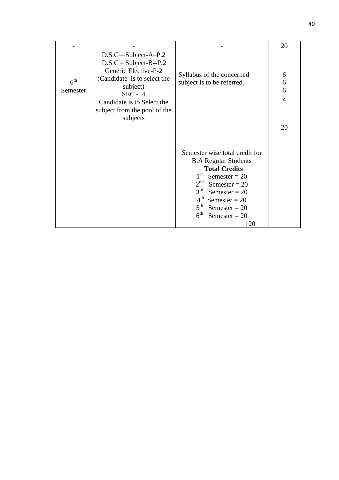|                             |                                                                                                                                                                                                          |                                                                                                                                                                                                                                                                           | 20                            |
|-----------------------------|----------------------------------------------------------------------------------------------------------------------------------------------------------------------------------------------------------|---------------------------------------------------------------------------------------------------------------------------------------------------------------------------------------------------------------------------------------------------------------------------|-------------------------------|
| 6 <sup>th</sup><br>Semester | D.S.C—Subject-A–P.2<br>$D.S.C - Subject-B-P.2$<br>Generic Elective-P-2<br>(Candidate is to select the<br>subject)<br>$SEC - 4$<br>Candidate is to Select the<br>subject from the pool of the<br>subjects | Syllabus of the concerned<br>subject is to be referred.                                                                                                                                                                                                                   | 6<br>6<br>6<br>$\overline{2}$ |
|                             |                                                                                                                                                                                                          |                                                                                                                                                                                                                                                                           | 20                            |
|                             |                                                                                                                                                                                                          | Semester wise total credit for<br><b>B.A Regular Students</b><br><b>Total Credits</b><br>$1st$ Semester = 20<br>$2nd$ Semester = 20<br>$3rd$ Semester = 20<br>$4^{\text{th}}$ Semester = 20<br>$5^{\text{th}}$ Semester = 20<br>$6^{\text{th}}$<br>Semester = $20$<br>120 |                               |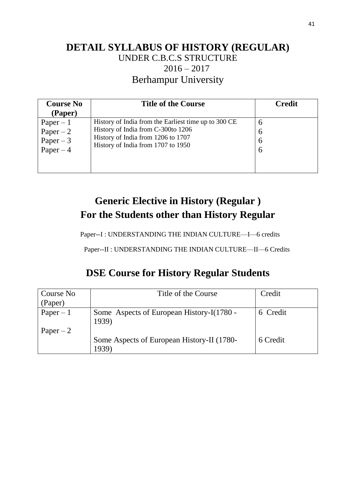# **DETAIL SYLLABUS OF HISTORY (REGULAR)** UNDER C.B.C.S STRUCTURE  $2016 - 2017$ Berhampur University

| <b>Course No</b><br>(Paper)                          | <b>Title of the Course</b>                                                                                                                                             | <b>Credit</b>    |
|------------------------------------------------------|------------------------------------------------------------------------------------------------------------------------------------------------------------------------|------------------|
| Paper $-1$<br>Paper $-2$<br>Paper $-3$<br>Paper $-4$ | History of India from the Earliest time up to 300 CE<br>History of India from C-300to 1206<br>History of India from 1206 to 1707<br>History of India from 1707 to 1950 | 6<br>6<br>6<br>6 |

# **Generic Elective in History (Regular ) For the Students other than History Regular**

Paper--I : UNDERSTANDING THE INDIAN CULTURE—I—6 credits

Paper--II : UNDERSTANDING THE INDIAN CULTURE—II—6 Credits

# **DSE Course for History Regular Students**

| Course No  | Title of the Course                                | Credit   |
|------------|----------------------------------------------------|----------|
| (Paper)    |                                                    |          |
| Paper $-1$ | Some Aspects of European History-I(1780 -<br>1939) | 6 Credit |
| Paper $-2$ | Some Aspects of European History-II (1780-         | 6 Credit |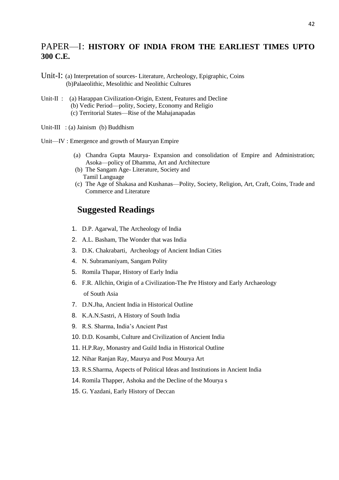## PAPER—I: **HISTORY OF INDIA FROM THE EARLIEST TIMES UPTO 300 C.E.**

- Unit-I: (a) Interpretation of sources- Literature, Archeology, Epigraphic, Coins (b)Palaeolithic, Mesolithic and Neolithic Cultures
- Unit-II : (a) Harappan Civilization-Origin, Extent, Features and Decline (b) Vedic Period—polity, Society, Economy and Religio (c) Territorial States—Rise of the Mahajanapadas
- Unit-III : (a) Jainism (b) Buddhism
- Unit—IV : Emergence and growth of Mauryan Empire
	- (a) Chandra Gupta Maurya- Expansion and consolidation of Empire and Administration; Asoka—policy of Dhamma, Art and Architecture
	- (b) The Sangam Age- Literature, Society and Tamil Language
	- (c) The Age of Shakasa and Kushanas—Polity, Society, Religion, Art, Craft, Coins, Trade and Commerce and Literature

## **Suggested Readings**

- 1. D.P. Agarwal, The Archeology of India
- 2. A.L. Basham, The Wonder that was India
- 3. D.K. Chakrabarti, Archeology of Ancient Indian Cities
- 4. N. Subramaniyam, Sangam Polity
- 5. Romila Thapar, History of Early India
- 6. F.R. Allchin, Origin of a Civilization-The Pre History and Early Archaeology of South Asia
- 7. D.N.Jha, Ancient India in Historical Outline
- 8. K.A.N.Sastri, A History of South India
- 9. R.S. Sharma, India's Ancient Past
- 10. D.D. Kosambi, Culture and Civilization of Ancient India
- 11. H.P.Ray, Monastry and Guild India in Historical Outline
- 12. Nihar Ranjan Ray, Maurya and Post Mourya Art
- 13. R.S.Sharma, Aspects of Political Ideas and Institutions in Ancient India
- 14. Romila Thapper, Ashoka and the Decline of the Mourya s
- 15. G. Yazdani, Early History of Deccan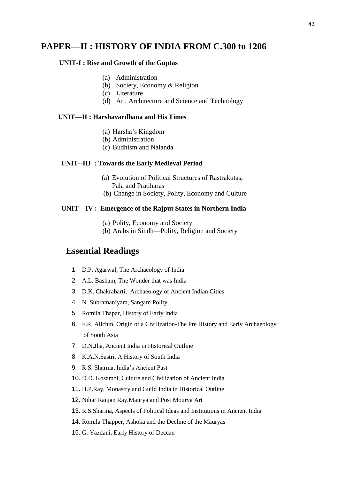## **PAPER—II : HISTORY OF INDIA FROM C.300 to 1206**

### **UNIT-I : Rise and Growth of the Guptas**

- (a) Administration
- (b) Society, Economy & Religion
- (c) Literature
- (d) Art, Architecture and Science and Technology

## **UNIT—II : Harshavardhana and His Times**

- (a) Harsha's Kingdom
- (b) Administration
- (c) Budhism and Nalanda

### **UNIT--III : Towards the Early Medieval Period**

- (a) Evolution of Political Structures of Rastrakutas, Pala and Pratiharas
- (b) Change in Society, Polity, Economy and Culture

### **UNIT—IV : Emergence of the Rajput States in Northern India**

- (a) Polity, Economy and Society
- (b) Arabs in Sindh—Polity, Religion and Society

## **Essential Readings**

- 1. D.P. Agarwal, The Archaeology of India
- 2. A.L. Basham, The Wonder that was India
- 3. D.K. Chakrabarti, Archaeology of Ancient Indian Cities
- 4. N. Subramaniyam, Sangam Polity
- 5. Romila Thapar, History of Early India
- 6. F.R. Allchin, Origin of a Civilization-The Pre History and Early Archaeology of South Asia
- 7. D.N.Jha, Ancient India in Historical Outline
- 8. K.A.N.Sastri, A History of South India
- 9. R.S. Sharma, India's Ancient Past
- 10. D.D. Kosambi, Culture and Civilization of Ancient India
- 11. H.P.Ray, Monastry and Guild India in Historical Outline
- 12. Nihar Ranjan Ray,Maurya and Post Mourya Art
- 13. R.S.Sharma, Aspects of Political Ideas and Institutions in Ancient India
- 14. Romila Thapper, Ashoka and the Decline of the Mauryas
- 15. G. Yazdani, Early History of Deccan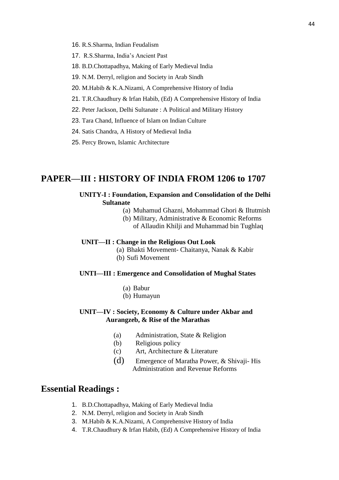- 16. R.S.Sharma, Indian Feudalism
- 17. R.S.Sharma, India's Ancient Past
- 18. B.D.Chottapadhya, Making of Early Medieval India
- 19. N.M. Derryl, religion and Society in Arab Sindh
- 20. M.Habib & K.A.Nizami, A Comprehensive History of India
- 21. T.R.Chaudhury & Irfan Habib, (Ed) A Comprehensive History of India
- 22. Peter Jackson, Delhi Sultanate : A Political and Military History
- 23. Tara Chand, Influence of Islam on Indian Culture
- 24. Satis Chandra, A History of Medieval India
- 25. Percy Brown, Islamic Architecture

## **PAPER—III : HISTORY OF INDIA FROM 1206 to 1707**

### **UNITY-I : Foundation, Expansion and Consolidation of the Delhi Sultanate**

- (a) Muhamud Ghazni, Mohammad Ghori & Iltutmish
- (b) Military, Administrative & Economic Reforms of Allaudin Khilji and Muhammad bin Tughlaq

#### **UNIT—II : Change in the Religious Out Look**

- (a) Bhakti Movement- Chaitanya, Nanak & Kabir
- (b) Sufi Movement

### **UNTI—III : Emergence and Consolidation of Mughal States**

- (a) Babur
- (b) Humayun

### **UNIT—IV : Society, Economy & Culture under Akbar and Aurangzeb, & Rise of the Marathas**

- (a) Administration, State & Religion
- (b) Religious policy
- (c) Art, Architecture & Literature
- (d) Emergence of Maratha Power, & Shivaji- His Administration and Revenue Reforms

## **Essential Readings :**

- 1. B.D.Chottapadhya, Making of Early Medieval India
- 2. N.M. Derryl, religion and Society in Arab Sindh
- 3. M.Habib & K.A.Nizami, A Comprehensive History of India
- 4. T.R.Chaudhury & Irfan Habib, (Ed) A Comprehensive History of India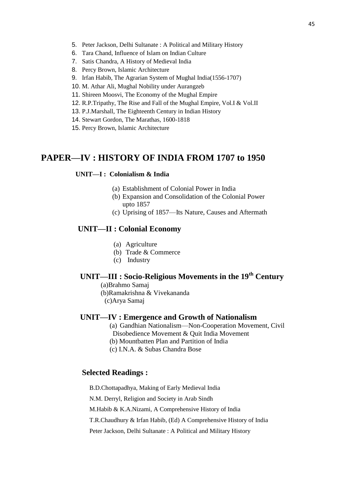- 5. Peter Jackson, Delhi Sultanate : A Political and Military History
- 6. Tara Chand, Influence of Islam on Indian Culture
- 7. Satis Chandra, A History of Medieval India
- 8. Percy Brown, Islamic Architecture
- 9. Irfan Habib, The Agrarian System of Mughal India(1556-1707)
- 10. M. Athar Ali, Mughal Nobility under Aurangzeb
- 11. Shireen Moosvi, The Economy of the Mughal Empire
- 12. R.P.Tripathy, The Rise and Fall of the Mughal Empire, Vol.I & Vol.II
- 13. P.J.Marshall, The Eighteenth Century in Indian History
- 14. Stewart Gordon, The Marathas, 1600-1818
- 15. Percy Brown, Islamic Architecture

## **PAPER—IV : HISTORY OF INDIA FROM 1707 to 1950**

### **UNIT—I : Colonialism & India**

- (a) Establishment of Colonial Power in India
- (b) Expansion and Consolidation of the Colonial Power upto 1857
- (c) Uprising of 1857—Its Nature, Causes and Aftermath

## **UNIT—II : Colonial Economy**

- (a) Agriculture
- (b) Trade & Commerce
- (c) Industry

## **UNIT—III : Socio-Religious Movements in the 19th Century**

(a)Brahmo Samaj

- (b)Ramakrishna & Vivekananda
	- (c)Arya Samaj

### **UNIT—IV : Emergence and Growth of Nationalism**

- (a) Gandhian Nationalism—Non-Cooperation Movement, Civil Disobedience Movement & Quit India Movement
- (b) Mountbatten Plan and Partition of India
- (c) I.N.A. & Subas Chandra Bose

### **Selected Readings :**

B.D.Chottapadhya, Making of Early Medieval India

N.M. Derryl, Religion and Society in Arab Sindh

M.Habib & K.A.Nizami, A Comprehensive History of India

T.R.Chaudhury & Irfan Habib, (Ed) A Comprehensive History of India

Peter Jackson, Delhi Sultanate : A Political and Military History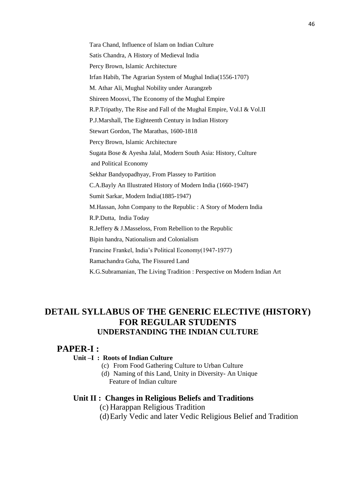Tara Chand, Influence of Islam on Indian Culture Satis Chandra, A History of Medieval India Percy Brown, Islamic Architecture Irfan Habib, The Agrarian System of Mughal India(1556-1707) M. Athar Ali, Mughal Nobility under Aurangzeb Shireen Moosvi, The Economy of the Mughal Empire R.P.Tripathy, The Rise and Fall of the Mughal Empire, Vol.I & Vol.II P.J.Marshall, The Eighteenth Century in Indian History Stewart Gordon, The Marathas, 1600-1818 Percy Brown, Islamic Architecture Sugata Bose & Ayesha Jalal, Modern South Asia: History, Culture and Political Economy Sekhar Bandyopadhyay, From Plassey to Partition C.A.Bayly An Illustrated History of Modern India (1660-1947) Sumit Sarkar, Modern India(1885-1947) M.Hassan, John Company to the Republic : A Story of Modern India R.P.Dutta, India Today R.Jeffery & J.Masseloss, From Rebellion to the Republic Bipin handra, Nationalism and Colonialism Francine Frankel, India's Political Economy(1947-1977) Ramachandra Guha, The Fissured Land K.G.Subramanian, The Living Tradition : Perspective on Modern Indian Art

# **DETAIL SYLLABUS OF THE GENERIC ELECTIVE (HISTORY) FOR REGULAR STUDENTS UNDERSTANDING THE INDIAN CULTURE**

## **PAPER-I :**

## **Unit –I : Roots of Indian Culture**

- (c) From Food Gathering Culture to Urban Culture
- (d) Naming of this Land, Unity in Diversity- An Unique Feature of Indian culture

## **Unit II : Changes in Religious Beliefs and Traditions**

- (c) Harappan Religious Tradition
- (d)Early Vedic and later Vedic Religious Belief and Tradition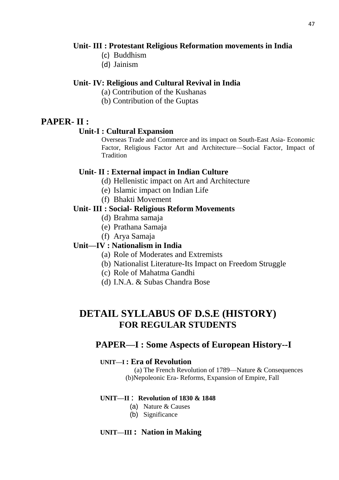## **Unit- III : Protestant Religious Reformation movements in India**

- (c) Buddhism
- (d) Jainism

## **Unit- IV: Religious and Cultural Revival in India**

- (a) Contribution of the Kushanas
- (b) Contribution of the Guptas

## **PAPER- II :**

## **Unit-I : Cultural Expansion**

Overseas Trade and Commerce and its impact on South-East Asia- Economic Factor, Religious Factor Art and Architecture—Social Factor, Impact of Tradition

## **Unit- II : External impact in Indian Culture**

- (d) Hellenistic impact on Art and Architecture
- (e) Islamic impact on Indian Life
- (f) Bhakti Movement

## **Unit- III : Social- Religious Reform Movements**

- (d) Brahma samaja
- (e) Prathana Samaja
- (f) Arya Samaja

## **Unit—IV : Nationalism in India**

- (a) Role of Moderates and Extremists
- (b) Nationalist Literature-Its Impact on Freedom Struggle
- (c) Role of Mahatma Gandhi
- (d) I.N.A. & Subas Chandra Bose

# **DETAIL SYLLABUS OF D.S.E (HISTORY) FOR REGULAR STUDENTS**

## **PAPER—I : Some Aspects of European History--I**

## **UNIT—I : Era of Revolution**

 (a) The French Revolution of 1789—Nature & Consequences (b)Nepoleonic Era- Reforms, Expansion of Empire, Fall

### **UNIT—II** : **Revolution of 1830 & 1848**

- (a) Nature & Causes
- (b) Significance

## **UNIT—III : Nation in Making**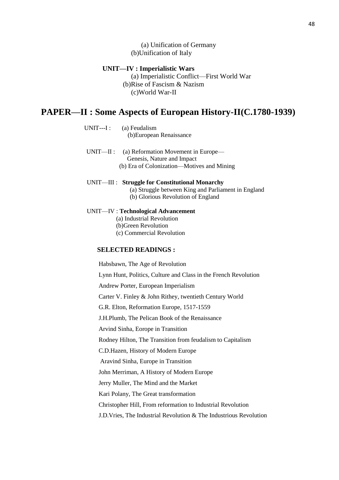(a) Unification of Germany (b)Unification of Italy

### **UNIT—IV : Imperialistic Wars** (a) Imperialistic Conflict—First World War (b)Rise of Fascism & Nazism (c)World War-II

## **PAPER—II : Some Aspects of European History-II(C.1780-1939)**

UNIT---I : (a) Feudalism (b)European Renaissance

UNIT—II : (a) Reformation Movement in Europe— Genesis, Nature and Impact (b) Era of Colonization—Motives and Mining

 UNIT—III : **Struggle for Constitutional Monarchy** (a) Struggle between King and Parliament in England (b) Glorious Revolution of England

#### UNIT—IV : **Technological Advancement** (a) Industrial Revolution

(b)Green Revolution (c) Commercial Revolution

### **SELECTED READINGS :**

Habsbawn, The Age of Revolution Lynn Hunt, Politics, Culture and Class in the French Revolution Andrew Porter, European Imperialism Carter V. Finley & John Rithey, twentieth Century World G.R. Elton, Reformation Europe, 1517-1559 J.H.Plumb, The Pelican Book of the Renaissance Arvind Sinha, Eorope in Transition Rodney Hilton, The Transition from feudalism to Capitalism C.D.Hazen, History of Modern Europe Aravind Sinha, Europe in Transition John Merriman, A History of Modern Europe Jerry Muller, The Mind and the Market Kari Polany, The Great transformation Christopher Hill, From reformation to Industrial Revolution J.D.Vries, The Industrial Revolution & The Industrious Revolution